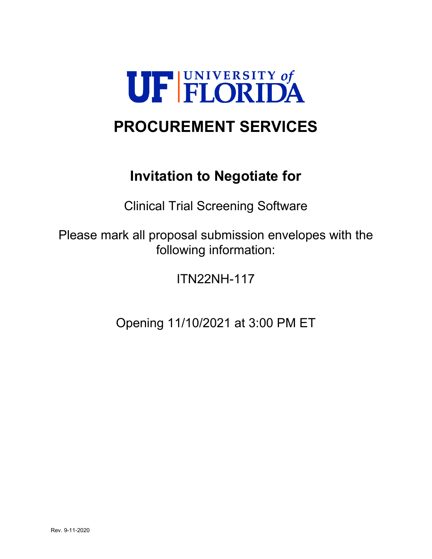

# **PROCUREMENT SERVICES**

# **Invitation to Negotiate for**

Clinical Trial Screening Software

Please mark all proposal submission envelopes with the following information:

ITN22NH-117

Opening 11/10/2021 at 3:00 PM ET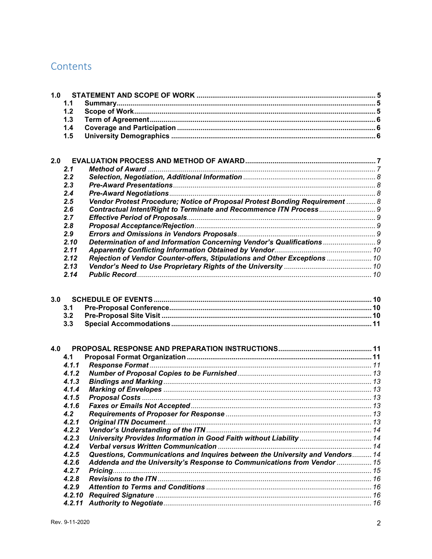# Contents

| 1.0 |        |                                                                              |  |
|-----|--------|------------------------------------------------------------------------------|--|
|     | 1.1    |                                                                              |  |
|     | 1.2    |                                                                              |  |
|     | 1.3    |                                                                              |  |
|     | 1.4    |                                                                              |  |
|     | 1.5    |                                                                              |  |
|     |        |                                                                              |  |
|     |        |                                                                              |  |
| 2.0 |        |                                                                              |  |
|     | 2.1    |                                                                              |  |
|     | 2.2    |                                                                              |  |
|     | 2.3    |                                                                              |  |
|     | 2.4    |                                                                              |  |
|     | 2.5    | Vendor Protest Procedure; Notice of Proposal Protest Bonding Requirement  8  |  |
|     | 2.6    |                                                                              |  |
|     | 2.7    |                                                                              |  |
|     | 2.8    |                                                                              |  |
|     | 2.9    |                                                                              |  |
|     | 2.10   | Determination of and Information Concerning Vendor's Qualifications  9       |  |
|     | 2.11   |                                                                              |  |
|     | 2.12   | Rejection of Vendor Counter-offers, Stipulations and Other Exceptions  10    |  |
|     | 2.13   |                                                                              |  |
|     | 2.14   |                                                                              |  |
|     |        |                                                                              |  |
| 3.0 |        |                                                                              |  |
|     | 3.1    |                                                                              |  |
|     | 3.2    |                                                                              |  |
|     | 3.3    |                                                                              |  |
|     |        |                                                                              |  |
|     |        |                                                                              |  |
| 4.0 |        |                                                                              |  |
|     | 4.1    |                                                                              |  |
|     | 4.1.1  |                                                                              |  |
|     | 4.1.2  |                                                                              |  |
|     | 4.1.3  |                                                                              |  |
|     | 4.1.4  |                                                                              |  |
|     | 4.1.5  |                                                                              |  |
|     | 4.1.6  |                                                                              |  |
|     | 4.2    |                                                                              |  |
|     | 4.2.1  |                                                                              |  |
|     | 4.2.2  |                                                                              |  |
|     | 4.2.3  | University Provides Information in Good Faith without Liability  14          |  |
|     | 4.2.4  |                                                                              |  |
|     | 4.2.5  | Questions, Communications and Inquires between the University and Vendors 14 |  |
|     | 4.2.6  | Addenda and the University's Response to Communications from Vendor  15      |  |
|     | 4.2.7  |                                                                              |  |
|     | 4.2.8  |                                                                              |  |
|     | 4.2.9  |                                                                              |  |
|     | 4.2.10 |                                                                              |  |
|     | 4.2.11 |                                                                              |  |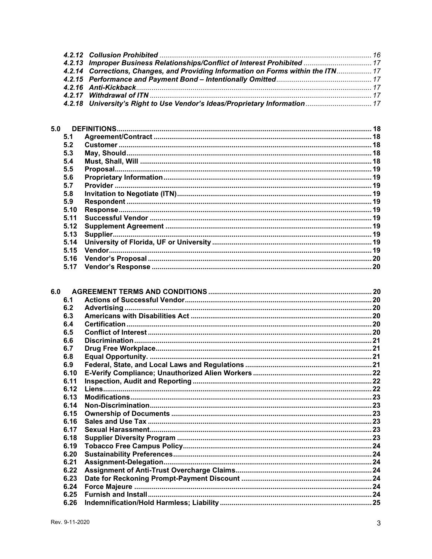| 4.2.13 Improper Business Relationships/Conflict of Interest Prohibited  17        |  |
|-----------------------------------------------------------------------------------|--|
| 4.2.14 Corrections, Changes, and Providing Information on Forms within the ITN 17 |  |
|                                                                                   |  |
|                                                                                   |  |
|                                                                                   |  |
| 4.2.18 University's Right to Use Vendor's Ideas/Proprietary Information 17        |  |

| 5.0  |  |
|------|--|
| 5.1  |  |
| 5.2  |  |
| 5.3  |  |
| 5.4  |  |
| 5.5  |  |
| 5.6  |  |
| 5.7  |  |
| 5.8  |  |
| 5.9  |  |
| 5.10 |  |
| 5.11 |  |
| 5.12 |  |
| 5.13 |  |
| 5.14 |  |
| 5.15 |  |
| 5.16 |  |
| 5.17 |  |

| 6.0 |      |  |
|-----|------|--|
|     | 6.1  |  |
|     | 6.2  |  |
|     | 6.3  |  |
|     | 6.4  |  |
|     | 6.5  |  |
|     | 6.6  |  |
|     | 6.7  |  |
|     | 6.8  |  |
|     | 6.9  |  |
|     | 6.10 |  |
|     | 6.11 |  |
|     | 6.12 |  |
|     | 6.13 |  |
|     | 6.14 |  |
|     | 6.15 |  |
|     | 6.16 |  |
|     | 6.17 |  |
|     | 6.18 |  |
|     | 6.19 |  |
|     | 6.20 |  |
|     | 6.21 |  |
|     | 6.22 |  |
|     | 6.23 |  |
|     | 6.24 |  |
|     | 6.25 |  |
|     | 6.26 |  |
|     |      |  |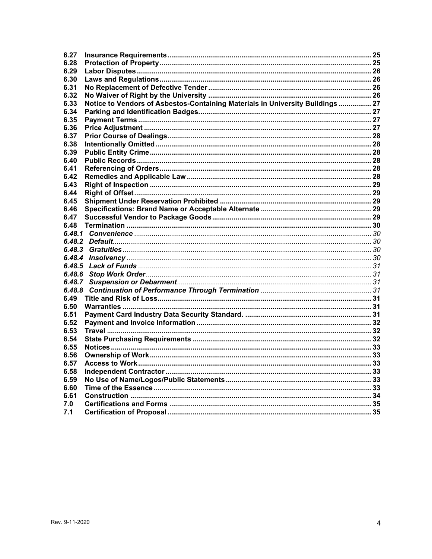| 6.27   |                                                                               |  |
|--------|-------------------------------------------------------------------------------|--|
| 6.28   |                                                                               |  |
| 6.29   |                                                                               |  |
| 6.30   |                                                                               |  |
| 6.31   |                                                                               |  |
| 6.32   |                                                                               |  |
| 6.33   | Notice to Vendors of Asbestos-Containing Materials in University Buildings 27 |  |
| 6.34   |                                                                               |  |
| 6.35   |                                                                               |  |
| 6.36   |                                                                               |  |
| 6.37   |                                                                               |  |
| 6.38   |                                                                               |  |
| 6.39   |                                                                               |  |
| 6.40   |                                                                               |  |
| 6.41   |                                                                               |  |
| 6.42   |                                                                               |  |
| 6.43   |                                                                               |  |
| 6.44   |                                                                               |  |
| 6.45   |                                                                               |  |
| 6.46   |                                                                               |  |
| 6.47   |                                                                               |  |
| 6.48   |                                                                               |  |
| 6.48.1 |                                                                               |  |
|        |                                                                               |  |
|        |                                                                               |  |
| 6.48.4 |                                                                               |  |
| 6.48.5 |                                                                               |  |
| 6.48.6 |                                                                               |  |
| 6.48.7 |                                                                               |  |
| 6.48.8 |                                                                               |  |
| 6.49   |                                                                               |  |
| 6.50   |                                                                               |  |
| 6.51   |                                                                               |  |
| 6.52   |                                                                               |  |
| 6.53   |                                                                               |  |
| 6.54   |                                                                               |  |
| 6.55   |                                                                               |  |
| 6.56   |                                                                               |  |
| 6.57   |                                                                               |  |
| 6.58   |                                                                               |  |
| 6.59   |                                                                               |  |
| 6.60   |                                                                               |  |
| 6.61   |                                                                               |  |
| 7.0    |                                                                               |  |
| 7.1    |                                                                               |  |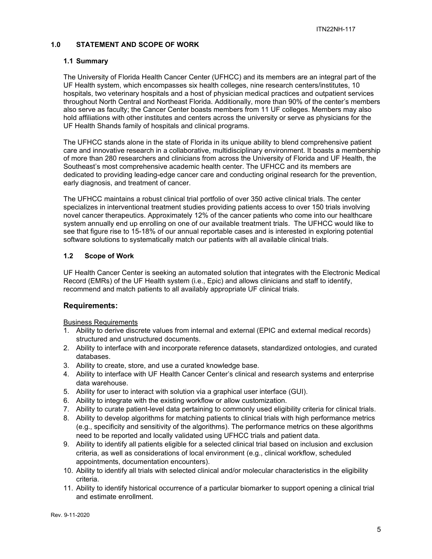#### <span id="page-4-0"></span>**1.0 STATEMENT AND SCOPE OF WORK**

#### <span id="page-4-1"></span>**1.1 Summary**

The University of Florida Health Cancer Center (UFHCC) and its members are an integral part of the UF Health system, which encompasses six health colleges, nine research centers/institutes, 10 hospitals, two veterinary hospitals and a host of physician medical practices and outpatient services throughout North Central and Northeast Florida. Additionally, more than 90% of the center's members also serve as faculty; the Cancer Center boasts members from 11 UF colleges. Members may also hold affiliations with other institutes and centers across the university or serve as physicians for the UF Health Shands family of hospitals and clinical programs.

The UFHCC stands alone in the state of Florida in its unique ability to blend comprehensive patient care and innovative research in a collaborative, multidisciplinary environment. It boasts a membership of more than 280 researchers and clinicians from across the University of Florida and UF Health, the Southeast's most comprehensive academic health center. The UFHCC and its members are dedicated to providing leading-edge cancer care and conducting original research for the prevention, early diagnosis, and treatment of cancer.

The UFHCC maintains a robust clinical trial portfolio of over 350 active clinical trials. The center specializes in interventional treatment studies providing patients access to over 150 trials involving novel cancer therapeutics. Approximately 12% of the cancer patients who come into our healthcare system annually end up enrolling on one of our available treatment trials. The UFHCC would like to see that figure rise to 15-18% of our annual reportable cases and is interested in exploring potential software solutions to systematically match our patients with all available clinical trials.

## <span id="page-4-2"></span>**1.2 Scope of Work**

UF Health Cancer Center is seeking an automated solution that integrates with the Electronic Medical Record (EMRs) of the UF Health system (i.e., Epic) and allows clinicians and staff to identify, recommend and match patients to all availably appropriate UF clinical trials.

## **Requirements:**

Business Requirements

- 1. Ability to derive discrete values from internal and external (EPIC and external medical records) structured and unstructured documents.
- 2. Ability to interface with and incorporate reference datasets, standardized ontologies, and curated databases.
- 3. Ability to create, store, and use a curated knowledge base.
- 4. Ability to interface with UF Health Cancer Center's clinical and research systems and enterprise data warehouse.
- 5. Ability for user to interact with solution via a graphical user interface (GUI).
- 6. Ability to integrate with the existing workflow or allow customization.
- 7. Ability to curate patient-level data pertaining to commonly used eligibility criteria for clinical trials.
- 8. Ability to develop algorithms for matching patients to clinical trials with high performance metrics (e.g., specificity and sensitivity of the algorithms). The performance metrics on these algorithms need to be reported and locally validated using UFHCC trials and patient data.
- 9. Ability to identify all patients eligible for a selected clinical trial based on inclusion and exclusion criteria, as well as considerations of local environment (e.g., clinical workflow, scheduled appointments, documentation encounters).
- 10. Ability to identify all trials with selected clinical and/or molecular characteristics in the eligibility criteria.
- 11. Ability to identify historical occurrence of a particular biomarker to support opening a clinical trial and estimate enrollment.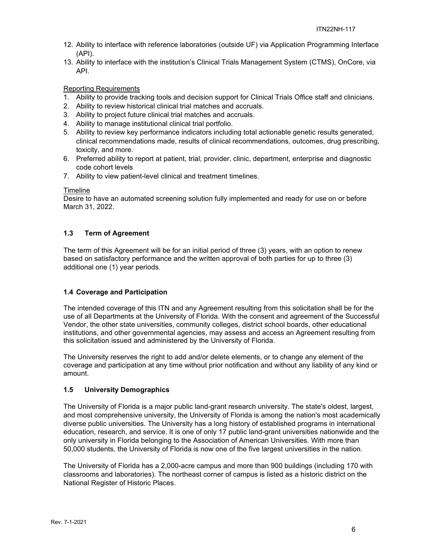- 12. Ability to interface with reference laboratories (outside UF) via Application Programming Interface (API).
- 13. Ability to interface with the institution's Clinical Trials Management System (CTMS), OnCore, via API.

## Reporting Requirements

- 1. Ability to provide tracking tools and decision support for Clinical Trials Office staff and clinicians.
- 2. Ability to review historical clinical trial matches and accruals.
- 3. Ability to project future clinical trial matches and accruals.
- 4. Ability to manage institutional clinical trial portfolio.
- 5. Ability to review key performance indicators including total actionable genetic results generated, clinical recommendations made, results of clinical recommendations, outcomes, drug prescribing, toxicity, and more.
- 6. Preferred ability to report at patient, trial, provider, clinic, department, enterprise and diagnostic code cohort levels
- 7. Ability to view patient-level clinical and treatment timelines.

#### Timeline

Desire to have an automated screening solution fully implemented and ready for use on or before March 31, 2022.

#### <span id="page-5-0"></span>**1.3 Term of Agreement**

The term of this Agreement will be for an initial period of three (3) years, with an option to renew based on satisfactory performance and the written approval of both parties for up to three (3) additional one (1) year periods.

#### <span id="page-5-1"></span>**1.4 Coverage and Participation**

The intended coverage of this ITN and any Agreement resulting from this solicitation shall be for the use of all Departments at the University of Florida. With the consent and agreement of the Successful Vendor, the other state universities, community colleges, district school boards, other educational institutions, and other governmental agencies, may assess and access an Agreement resulting from this solicitation issued and administered by the University of Florida.

The University reserves the right to add and/or delete elements, or to change any element of the coverage and participation at any time without prior notification and without any liability of any kind or amount.

#### <span id="page-5-2"></span>**1.5 University Demographics**

The University of Florida is a major public land-grant research university. The state's oldest, largest, and most comprehensive university, the University of Florida is among the nation's most academically diverse public universities. The University has a long history of established programs in international education, research, and service. It is one of only 17 public land-grant universities nationwide and the only university in Florida belonging to the Association of American Universities. With more than 50,000 students, the University of Florida is now one of the five largest universities in the nation.

The University of Florida has a 2,000-acre campus and more than 900 buildings (including 170 with classrooms and laboratories). The northeast corner of campus is listed as a historic district on the National Register of Historic Places.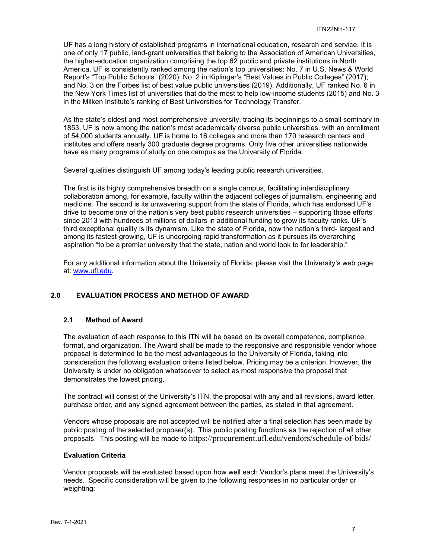UF has a long history of established programs in international education, research and service. It is one of only 17 public, land-grant universities that belong to the Association of American Universities, the higher-education organization comprising the top 62 public and private institutions in North America. UF is consistently ranked among the nation's top universities: No. 7 in U.S. News & World Report's "Top Public Schools" (2020); No. 2 in Kiplinger's "Best Values in Public Colleges" (2017); and No. 3 on the Forbes list of best value public universities (2019). Additionally, UF ranked No. 6 in the New York Times list of universities that do the most to help low-income students (2015) and No. 3 in the Milken Institute's ranking of Best Universities for Technology Transfer.

As the state's oldest and most comprehensive university, tracing its beginnings to a small seminary in 1853, UF is now among the nation's most academically diverse public universities. with an enrollment of 54,000 students annually. UF is home to 16 colleges and more than 170 research centers and institutes and offers nearly 300 graduate degree programs. Only five other universities nationwide have as many programs of study on one campus as the University of Florida.

Several qualities distinguish UF among today's leading public research universities.

The first is its highly comprehensive breadth on a single campus, facilitating interdisciplinary collaboration among, for example, faculty within the adjacent colleges of journalism, engineering and medicine. The second is its unwavering support from the state of Florida, which has endorsed UF's drive to become one of the nation's very best public research universities – supporting those efforts since 2013 with hundreds of millions of dollars in additional funding to grow its faculty ranks. UF's third exceptional quality is its dynamism. Like the state of Florida, now the nation's third- largest and among its fastest-growing, UF is undergoing rapid transformation as it pursues its overarching aspiration "to be a premier university that the state, nation and world look to for leadership."

For any additional information about the University of Florida, please visit the University's web page at: [www.ufl.edu.](http://www.ufl.edu/)

## <span id="page-6-0"></span>**2.0 EVALUATION PROCESS AND METHOD OF AWARD**

#### <span id="page-6-1"></span>**2.1 Method of Award**

The evaluation of each response to this ITN will be based on its overall competence, compliance, format, and organization. The Award shall be made to the responsive and responsible vendor whose proposal is determined to be the most advantageous to the University of Florida, taking into consideration the following evaluation criteria listed below. Pricing may be a criterion. However, the University is under no obligation whatsoever to select as most responsive the proposal that demonstrates the lowest pricing.

The contract will consist of the University's ITN, the proposal with any and all revisions, award letter, purchase order, and any signed agreement between the parties, as stated in that agreement.

Vendors whose proposals are not accepted will be notified after a final selection has been made by public posting of the selected proposer(s). This public posting functions as the rejection of all other proposals. This posting will be made to https://procurement.ufl.edu/vendors/schedule-of-bids/

#### **Evaluation Criteria**

Vendor proposals will be evaluated based upon how well each Vendor's plans meet the University's needs. Specific consideration will be given to the following responses in no particular order or weighting: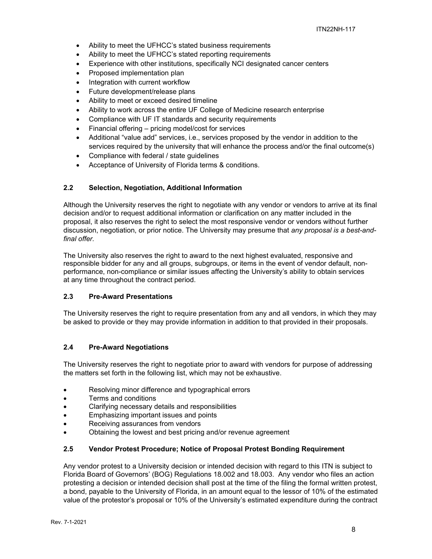- Ability to meet the UFHCC's stated business requirements
- Ability to meet the UFHCC's stated reporting requirements
- Experience with other institutions, specifically NCI designated cancer centers
- Proposed implementation plan
- Integration with current workflow
- Future development/release plans
- Ability to meet or exceed desired timeline
- Ability to work across the entire UF College of Medicine research enterprise
- Compliance with UF IT standards and security requirements
- Financial offering pricing model/cost for services
- Additional "value add" services, i.e., services proposed by the vendor in addition to the services required by the university that will enhance the process and/or the final outcome(s)
- Compliance with federal / state guidelines
- Acceptance of University of Florida terms & conditions.

#### <span id="page-7-0"></span>**2.2 Selection, Negotiation, Additional Information**

Although the University reserves the right to negotiate with any vendor or vendors to arrive at its final decision and/or to request additional information or clarification on any matter included in the proposal, it also reserves the right to select the most responsive vendor or vendors without further discussion, negotiation, or prior notice. The University may presume that *any proposal is a best-andfinal offer.*

The University also reserves the right to award to the next highest evaluated, responsive and responsible bidder for any and all groups, subgroups, or items in the event of vendor default, nonperformance, non-compliance or similar issues affecting the University's ability to obtain services at any time throughout the contract period.

#### <span id="page-7-1"></span>**2.3 Pre-Award Presentations**

The University reserves the right to require presentation from any and all vendors, in which they may be asked to provide or they may provide information in addition to that provided in their proposals.

#### <span id="page-7-2"></span>**2.4 Pre-Award Negotiations**

The University reserves the right to negotiate prior to award with vendors for purpose of addressing the matters set forth in the following list, which may not be exhaustive.

- Resolving minor difference and typographical errors
- Terms and conditions
- Clarifying necessary details and responsibilities
- Emphasizing important issues and points
- Receiving assurances from vendors
- Obtaining the lowest and best pricing and/or revenue agreement

#### <span id="page-7-3"></span>**2.5 Vendor Protest Procedure; Notice of Proposal Protest Bonding Requirement**

Any vendor protest to a University decision or intended decision with regard to this ITN is subject to Florida Board of Governors' (BOG) Regulations 18.002 and 18.003. Any vendor who files an action protesting a decision or intended decision shall post at the time of the filing the formal written protest, a bond, payable to the University of Florida, in an amount equal to the lessor of 10% of the estimated value of the protestor's proposal or 10% of the University's estimated expenditure during the contract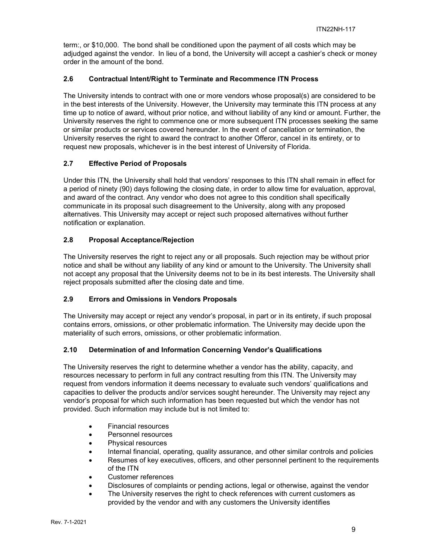term:, or \$10,000. The bond shall be conditioned upon the payment of all costs which may be adjudged against the vendor. In lieu of a bond, the University will accept a cashier's check or money order in the amount of the bond.

#### <span id="page-8-0"></span>**2.6 Contractual Intent/Right to Terminate and Recommence ITN Process**

The University intends to contract with one or more vendors whose proposal(s) are considered to be in the best interests of the University. However, the University may terminate this ITN process at any time up to notice of award, without prior notice, and without liability of any kind or amount. Further, the University reserves the right to commence one or more subsequent ITN processes seeking the same or similar products or services covered hereunder. In the event of cancellation or termination, the University reserves the right to award the contract to another Offeror, cancel in its entirety, or to request new proposals, whichever is in the best interest of University of Florida.

#### <span id="page-8-1"></span>**2.7 Effective Period of Proposals**

Under this ITN, the University shall hold that vendors' responses to this ITN shall remain in effect for a period of ninety (90) days following the closing date, in order to allow time for evaluation, approval, and award of the contract. Any vendor who does not agree to this condition shall specifically communicate in its proposal such disagreement to the University, along with any proposed alternatives. This University may accept or reject such proposed alternatives without further notification or explanation.

#### <span id="page-8-2"></span>**2.8 Proposal Acceptance/Rejection**

The University reserves the right to reject any or all proposals. Such rejection may be without prior notice and shall be without any liability of any kind or amount to the University. The University shall not accept any proposal that the University deems not to be in its best interests. The University shall reject proposals submitted after the closing date and time.

## <span id="page-8-3"></span>**2.9 Errors and Omissions in Vendors Proposals**

The University may accept or reject any vendor's proposal, in part or in its entirety, if such proposal contains errors, omissions, or other problematic information. The University may decide upon the materiality of such errors, omissions, or other problematic information.

#### <span id="page-8-4"></span>**2.10 Determination of and Information Concerning Vendor's Qualifications**

The University reserves the right to determine whether a vendor has the ability, capacity, and resources necessary to perform in full any contract resulting from this ITN. The University may request from vendors information it deems necessary to evaluate such vendors' qualifications and capacities to deliver the products and/or services sought hereunder. The University may reject any vendor's proposal for which such information has been requested but which the vendor has not provided. Such information may include but is not limited to:

- Financial resources
- Personnel resources
- Physical resources
- Internal financial, operating, quality assurance, and other similar controls and policies
- Resumes of key executives, officers, and other personnel pertinent to the requirements of the ITN
- Customer references
- Disclosures of complaints or pending actions, legal or otherwise, against the vendor
- The University reserves the right to check references with current customers as provided by the vendor and with any customers the University identifies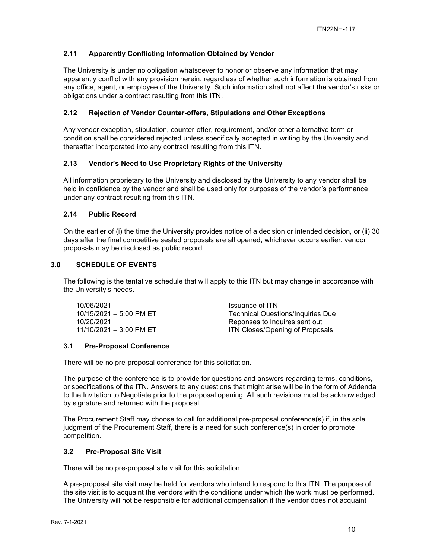## <span id="page-9-0"></span>**2.11 Apparently Conflicting Information Obtained by Vendor**

The University is under no obligation whatsoever to honor or observe any information that may apparently conflict with any provision herein, regardless of whether such information is obtained from any office, agent, or employee of the University. Such information shall not affect the vendor's risks or obligations under a contract resulting from this ITN.

#### <span id="page-9-1"></span>**2.12 Rejection of Vendor Counter-offers, Stipulations and Other Exceptions**

Any vendor exception, stipulation, counter-offer, requirement, and/or other alternative term or condition shall be considered rejected unless specifically accepted in writing by the University and thereafter incorporated into any contract resulting from this ITN.

#### <span id="page-9-2"></span>**2.13 Vendor's Need to Use Proprietary Rights of the University**

All information proprietary to the University and disclosed by the University to any vendor shall be held in confidence by the vendor and shall be used only for purposes of the vendor's performance under any contract resulting from this ITN.

#### <span id="page-9-3"></span>**2.14 Public Record**

On the earlier of (i) the time the University provides notice of a decision or intended decision, or (ii) 30 days after the final competitive sealed proposals are all opened, whichever occurs earlier, vendor proposals may be disclosed as public record.

#### <span id="page-9-4"></span>**3.0 SCHEDULE OF EVENTS**

The following is the tentative schedule that will apply to this ITN but may change in accordance with the University's needs.

| 10/06/2021                        | Issuance of ITN                          |
|-----------------------------------|------------------------------------------|
| $10/15/2021 - 5:00 \text{ PM ET}$ | <b>Technical Questions/Inquiries Due</b> |
| 10/20/2021                        | Reponses to Inquires sent out            |
| $11/10/2021 - 3:00 \text{ PM ET}$ | <b>ITN Closes/Opening of Proposals</b>   |

## <span id="page-9-5"></span>**3.1 Pre-Proposal Conference**

There will be no pre-proposal conference for this solicitation.

The purpose of the conference is to provide for questions and answers regarding terms, conditions, or specifications of the ITN. Answers to any questions that might arise will be in the form of Addenda to the Invitation to Negotiate prior to the proposal opening. All such revisions must be acknowledged by signature and returned with the proposal.

The Procurement Staff may choose to call for additional pre-proposal conference(s) if, in the sole judgment of the Procurement Staff, there is a need for such conference(s) in order to promote competition.

## <span id="page-9-6"></span>**3.2 Pre-Proposal Site Visit**

There will be no pre-proposal site visit for this solicitation.

A pre-proposal site visit may be held for vendors who intend to respond to this ITN. The purpose of the site visit is to acquaint the vendors with the conditions under which the work must be performed. The University will not be responsible for additional compensation if the vendor does not acquaint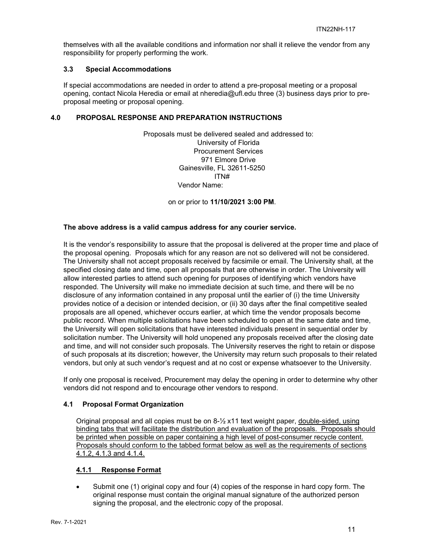themselves with all the available conditions and information nor shall it relieve the vendor from any responsibility for properly performing the work.

#### <span id="page-10-0"></span>**3.3 Special Accommodations**

If special accommodations are needed in order to attend a pre-proposal meeting or a proposal opening, contact Nicola Heredia or email at nheredia@ufl.edu three (3) business days prior to preproposal meeting or proposal opening.

#### <span id="page-10-1"></span>**4.0 PROPOSAL RESPONSE AND PREPARATION INSTRUCTIONS**

Proposals must be delivered sealed and addressed to: University of Florida Procurement Services 971 Elmore Drive Gainesville, FL 32611-5250 ITN# Vendor Name:

on or prior to **11/10/2021 3:00 PM**.

#### **The above address is a valid campus address for any courier service.**

It is the vendor's responsibility to assure that the proposal is delivered at the proper time and place of the proposal opening. Proposals which for any reason are not so delivered will not be considered. The University shall not accept proposals received by facsimile or email. The University shall, at the specified closing date and time, open all proposals that are otherwise in order. The University will allow interested parties to attend such opening for purposes of identifying which vendors have responded. The University will make no immediate decision at such time, and there will be no disclosure of any information contained in any proposal until the earlier of (i) the time University provides notice of a decision or intended decision, or (ii) 30 days after the final competitive sealed proposals are all opened, whichever occurs earlier, at which time the vendor proposals become public record. When multiple solicitations have been scheduled to open at the same date and time, the University will open solicitations that have interested individuals present in sequential order by solicitation number. The University will hold unopened any proposals received after the closing date and time, and will not consider such proposals. The University reserves the right to retain or dispose of such proposals at its discretion; however, the University may return such proposals to their related vendors, but only at such vendor's request and at no cost or expense whatsoever to the University.

If only one proposal is received, Procurement may delay the opening in order to determine why other vendors did not respond and to encourage other vendors to respond.

## <span id="page-10-2"></span>**4.1 Proposal Format Organization**

Original proposal and all copies must be on  $8\frac{1}{2}$  x11 text weight paper, double-sided, using binding tabs that will facilitate the distribution and evaluation of the proposals. Proposals should be printed when possible on paper containing a high level of post-consumer recycle content. Proposals should conform to the tabbed format below as well as the requirements of sections 4.1.2, 4.1.3 and 4.1.4.

## <span id="page-10-3"></span>**4.1.1 Response Format**

• Submit one (1) original copy and four (4) copies of the response in hard copy form. The original response must contain the original manual signature of the authorized person signing the proposal, and the electronic copy of the proposal.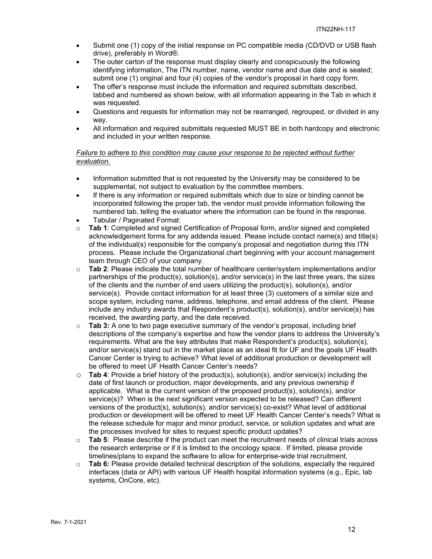- Submit one (1) copy of the initial response on PC compatible media (CD/DVD or USB flash drive), preferably in Word®.
- The outer carton of the response must display clearly and conspicuously the following identifying information, The ITN number, name, vendor name and due date and is sealed; submit one (1) original and four (4) copies of the vendor's proposal in hard copy form.
- The offer's response must include the information and required submittals described, tabbed and numbered as shown below, with all information appearing in the Tab in which it was requested.
- Questions and requests for information may not be rearranged, regrouped, or divided in any way.
- All information and required submittals requested MUST BE in both hardcopy and electronic and included in your written response.

#### *Failure to adhere to this condition may cause your response to be rejected without further evaluation.*

- Information submitted that is not requested by the University may be considered to be supplemental, not subject to evaluation by the committee members.
- If there is any information or required submittals which due to size or binding cannot be incorporated following the proper tab, the vendor must provide information following the numbered tab, telling the evaluator where the information can be found in the response.
- Tabular / Paginated Format:
- o **Tab 1**: Completed and signed Certification of Proposal form, and/or signed and completed acknowledgement forms for any addenda issued. Please include contact name(s) and title(s) of the individual(s) responsible for the company's proposal and negotiation during this ITN process. Please include the Organizational chart beginning with your account management team through CEO of your company.
- o **Tab 2**: Please indicate the total number of healthcare center/system implementations and/or partnerships of the product(s), solution(s), and/or service(s) in the last three years, the sizes of the clients and the number of end users utilizing the product(s), solution(s), and/or service(s). Provide contact information for at least three (3) customers of a similar size and scope system, including name, address, telephone, and email address of the client. Please include any industry awards that Respondent's product(s), solution(s), and/or service(s) has received, the awarding party, and the date received.
- o **Tab 3:** A one to two page executive summary of the vendor's proposal, including brief descriptions of the company's expertise and how the vendor plans to address the University's requirements. What are the key attributes that make Respondent's product(s), solution(s), and/or service(s) stand out in the market place as an ideal fit for UF and the goals UF Health Cancer Center is trying to achieve? What level of additional production or development will be offered to meet UF Health Cancer Center's needs?
- o **Tab 4**: Provide a brief history of the product(s), solution(s), and/or service(s) including the date of first launch or production, major developments, and any previous ownership if applicable. What is the current version of the proposed product(s), solution(s), and/or service(s)? When is the next significant version expected to be released? Can different versions of the product(s), solution(s), and/or service(s) co-exist? What level of additional production or development will be offered to meet UF Health Cancer Center's needs? What is the release schedule for major and minor product, service, or solution updates and what are the processes involved for sites to request specific product updates?
- o **Tab 5**: Please describe if the product can meet the recruitment needs of clinical trials across the research enterprise or if it is limited to the oncology space. If limited, please provide timelines/plans to expand the software to allow for enterprise-wide trial recruitment.
- o **Tab 6:** Please provide detailed technical description of the solutions, especially the required interfaces (data or API) with various UF Health hospital information systems (e.g., Epic, lab systems, OnCore, etc).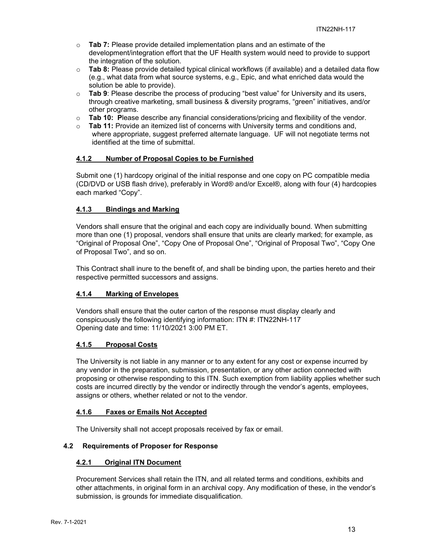- o **Tab 7:** Please provide detailed implementation plans and an estimate of the development/integration effort that the UF Health system would need to provide to support the integration of the solution.
- o **Tab 8:** Please provide detailed typical clinical workflows (if available) and a detailed data flow (e.g., what data from what source systems, e.g., Epic, and what enriched data would the solution be able to provide).
- o **Tab 9**: Please describe the process of producing "best value" for University and its users, through creative marketing, small business & diversity programs, "green" initiatives, and/or other programs.
- o **Tab 10: P**lease describe any financial considerations/pricing and flexibility of the vendor.
- o **Tab 11:** Provide an itemized list of concerns with University terms and conditions and, where appropriate, suggest preferred alternate language. UF will not negotiate terms not identified at the time of submittal.

#### <span id="page-12-0"></span>**4.1.2 Number of Proposal Copies to be Furnished**

Submit one (1) hardcopy original of the initial response and one copy on PC compatible media (CD/DVD or USB flash drive), preferably in Word® and/or Excel®, along with four (4) hardcopies each marked "Copy".

## <span id="page-12-1"></span>**4.1.3 Bindings and Marking**

Vendors shall ensure that the original and each copy are individually bound. When submitting more than one (1) proposal, vendors shall ensure that units are clearly marked; for example, as "Original of Proposal One", "Copy One of Proposal One", "Original of Proposal Two", "Copy One of Proposal Two", and so on.

This Contract shall inure to the benefit of, and shall be binding upon, the parties hereto and their respective permitted successors and assigns.

## <span id="page-12-2"></span>**4.1.4 Marking of Envelopes**

Vendors shall ensure that the outer carton of the response must display clearly and conspicuously the following identifying information: ITN #: ITN22NH-117 Opening date and time: 11/10/2021 3:00 PM ET.

## <span id="page-12-3"></span>**4.1.5 Proposal Costs**

The University is not liable in any manner or to any extent for any cost or expense incurred by any vendor in the preparation, submission, presentation, or any other action connected with proposing or otherwise responding to this ITN. Such exemption from liability applies whether such costs are incurred directly by the vendor or indirectly through the vendor's agents, employees, assigns or others, whether related or not to the vendor.

#### <span id="page-12-4"></span>**4.1.6 Faxes or Emails Not Accepted**

The University shall not accept proposals received by fax or email.

#### <span id="page-12-6"></span><span id="page-12-5"></span>**4.2 Requirements of Proposer for Response**

#### **4.2.1 Original ITN Document**

Procurement Services shall retain the ITN, and all related terms and conditions, exhibits and other attachments, in original form in an archival copy. Any modification of these, in the vendor's submission, is grounds for immediate disqualification.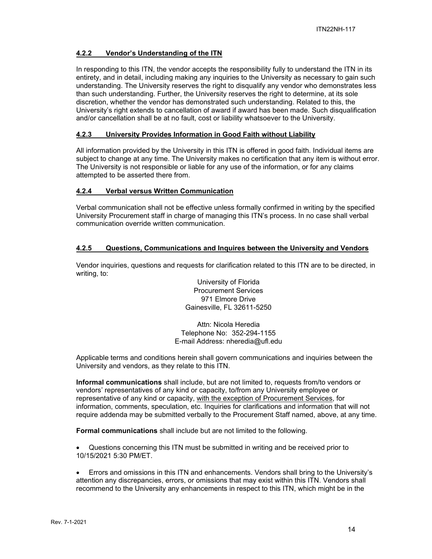#### <span id="page-13-0"></span>**4.2.2 Vendor's Understanding of the ITN**

In responding to this ITN, the vendor accepts the responsibility fully to understand the ITN in its entirety, and in detail, including making any inquiries to the University as necessary to gain such understanding. The University reserves the right to disqualify any vendor who demonstrates less than such understanding. Further, the University reserves the right to determine, at its sole discretion, whether the vendor has demonstrated such understanding. Related to this, the University's right extends to cancellation of award if award has been made. Such disqualification and/or cancellation shall be at no fault, cost or liability whatsoever to the University.

#### <span id="page-13-1"></span>**4.2.3 University Provides Information in Good Faith without Liability**

All information provided by the University in this ITN is offered in good faith. Individual items are subject to change at any time. The University makes no certification that any item is without error. The University is not responsible or liable for any use of the information, or for any claims attempted to be asserted there from.

#### <span id="page-13-2"></span>**4.2.4 Verbal versus Written Communication**

Verbal communication shall not be effective unless formally confirmed in writing by the specified University Procurement staff in charge of managing this ITN's process. In no case shall verbal communication override written communication.

#### <span id="page-13-3"></span>**4.2.5 Questions, Communications and Inquires between the University and Vendors**

Vendor inquiries, questions and requests for clarification related to this ITN are to be directed, in writing, to:

> University of Florida Procurement Services 971 Elmore Drive Gainesville, FL 32611-5250

Attn: Nicola Heredia Telephone No: 352-294-1155 E-mail Address: nheredia@ufl.edu

Applicable terms and conditions herein shall govern communications and inquiries between the University and vendors, as they relate to this ITN.

**Informal communications** shall include, but are not limited to, requests from/to vendors or vendors' representatives of any kind or capacity, to/from any University employee or representative of any kind or capacity, with the exception of Procurement Services, for information, comments, speculation, etc. Inquiries for clarifications and information that will not require addenda may be submitted verbally to the Procurement Staff named, above, at any time.

**Formal communications** shall include but are not limited to the following.

• Questions concerning this ITN must be submitted in writing and be received prior to 10/15/2021 5:30 PM/ET.

• Errors and omissions in this ITN and enhancements. Vendors shall bring to the University's attention any discrepancies, errors, or omissions that may exist within this ITN. Vendors shall recommend to the University any enhancements in respect to this ITN, which might be in the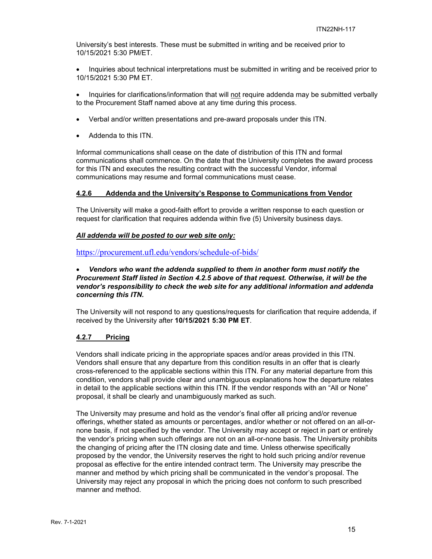University's best interests. These must be submitted in writing and be received prior to 10/15/2021 5:30 PM/ET.

• Inquiries about technical interpretations must be submitted in writing and be received prior to 10/15/2021 5:30 PM ET.

• Inquiries for clarifications/information that will not require addenda may be submitted verbally to the Procurement Staff named above at any time during this process.

- Verbal and/or written presentations and pre-award proposals under this ITN.
- Addenda to this ITN.

Informal communications shall cease on the date of distribution of this ITN and formal communications shall commence. On the date that the University completes the award process for this ITN and executes the resulting contract with the successful Vendor, informal communications may resume and formal communications must cease.

#### <span id="page-14-0"></span>**4.2.6 Addenda and the University's Response to Communications from Vendor**

The University will make a good-faith effort to provide a written response to each question or request for clarification that requires addenda within five (5) University business days.

#### *All addenda will be posted to our web site only:*

<https://procurement.ufl.edu/vendors/schedule-of-bids/>

#### • *Vendors who want the addenda supplied to them in another form must notify the Procurement Staff listed in Section 4.2.5 above of that request. Otherwise, it will be the vendor's responsibility to check the web site for any additional information and addenda concerning this ITN.*

The University will not respond to any questions/requests for clarification that require addenda, if received by the University after **10/15/2021 5:30 PM ET**.

#### <span id="page-14-1"></span>**4.2.7 Pricing**

Vendors shall indicate pricing in the appropriate spaces and/or areas provided in this ITN. Vendors shall ensure that any departure from this condition results in an offer that is clearly cross-referenced to the applicable sections within this ITN. For any material departure from this condition, vendors shall provide clear and unambiguous explanations how the departure relates in detail to the applicable sections within this ITN. If the vendor responds with an "All or None" proposal, it shall be clearly and unambiguously marked as such.

The University may presume and hold as the vendor's final offer all pricing and/or revenue offerings, whether stated as amounts or percentages, and/or whether or not offered on an all-ornone basis, if not specified by the vendor. The University may accept or reject in part or entirely the vendor's pricing when such offerings are not on an all-or-none basis. The University prohibits the changing of pricing after the ITN closing date and time. Unless otherwise specifically proposed by the vendor, the University reserves the right to hold such pricing and/or revenue proposal as effective for the entire intended contract term. The University may prescribe the manner and method by which pricing shall be communicated in the vendor's proposal. The University may reject any proposal in which the pricing does not conform to such prescribed manner and method.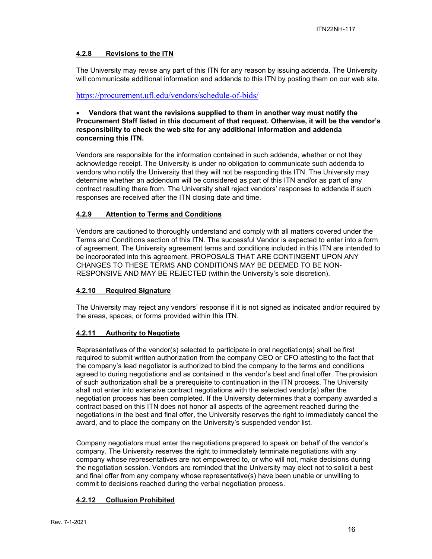## <span id="page-15-0"></span>**4.2.8 Revisions to the ITN**

The University may revise any part of this ITN for any reason by issuing addenda. The University will communicate additional information and addenda to this ITN by posting them on our web site.

## <https://procurement.ufl.edu/vendors/schedule-of-bids/>

#### • **Vendors that want the revisions supplied to them in another way must notify the Procurement Staff listed in this document of that request. Otherwise, it will be the vendor's responsibility to check the web site for any additional information and addenda concerning this ITN.**

Vendors are responsible for the information contained in such addenda, whether or not they acknowledge receipt. The University is under no obligation to communicate such addenda to vendors who notify the University that they will not be responding this ITN. The University may determine whether an addendum will be considered as part of this ITN and/or as part of any contract resulting there from. The University shall reject vendors' responses to addenda if such responses are received after the ITN closing date and time.

## <span id="page-15-1"></span>**4.2.9 Attention to Terms and Conditions**

Vendors are cautioned to thoroughly understand and comply with all matters covered under the Terms and Conditions section of this ITN. The successful Vendor is expected to enter into a form of agreement. The University agreement terms and conditions included in this ITN are intended to be incorporated into this agreement. PROPOSALS THAT ARE CONTINGENT UPON ANY CHANGES TO THESE TERMS AND CONDITIONS MAY BE DEEMED TO BE NON-RESPONSIVE AND MAY BE REJECTED (within the University's sole discretion).

## <span id="page-15-2"></span>**4.2.10 Required Signature**

The University may reject any vendors' response if it is not signed as indicated and/or required by the areas, spaces, or forms provided within this ITN.

## <span id="page-15-3"></span>**4.2.11 Authority to Negotiate**

Representatives of the vendor(s) selected to participate in oral negotiation(s) shall be first required to submit written authorization from the company CEO or CFO attesting to the fact that the company's lead negotiator is authorized to bind the company to the terms and conditions agreed to during negotiations and as contained in the vendor's best and final offer. The provision of such authorization shall be a prerequisite to continuation in the ITN process. The University shall not enter into extensive contract negotiations with the selected vendor(s) after the negotiation process has been completed. If the University determines that a company awarded a contract based on this ITN does not honor all aspects of the agreement reached during the negotiations in the best and final offer, the University reserves the right to immediately cancel the award, and to place the company on the University's suspended vendor list.

Company negotiators must enter the negotiations prepared to speak on behalf of the vendor's company. The University reserves the right to immediately terminate negotiations with any company whose representatives are not empowered to, or who will not, make decisions during the negotiation session. Vendors are reminded that the University may elect not to solicit a best and final offer from any company whose representative(s) have been unable or unwilling to commit to decisions reached during the verbal negotiation process.

## <span id="page-15-4"></span>**4.2.12 Collusion Prohibited**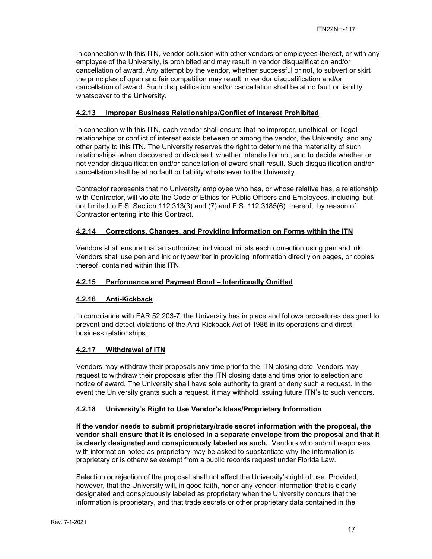In connection with this ITN, vendor collusion with other vendors or employees thereof, or with any employee of the University, is prohibited and may result in vendor disqualification and/or cancellation of award. Any attempt by the vendor, whether successful or not, to subvert or skirt the principles of open and fair competition may result in vendor disqualification and/or cancellation of award. Such disqualification and/or cancellation shall be at no fault or liability whatsoever to the University.

## <span id="page-16-0"></span>**4.2.13 Improper Business Relationships/Conflict of Interest Prohibited**

In connection with this ITN, each vendor shall ensure that no improper, unethical, or illegal relationships or conflict of interest exists between or among the vendor, the University, and any other party to this ITN. The University reserves the right to determine the materiality of such relationships, when discovered or disclosed, whether intended or not; and to decide whether or not vendor disqualification and/or cancellation of award shall result. Such disqualification and/or cancellation shall be at no fault or liability whatsoever to the University.

Contractor represents that no University employee who has, or whose relative has, a relationship with Contractor, will violate the Code of Ethics for Public Officers and Employees, including, but not limited to F.S. Section 112.313(3) and (7) and F.S. 112.3185(6) thereof, by reason of Contractor entering into this Contract.

## <span id="page-16-1"></span>**4.2.14 Corrections, Changes, and Providing Information on Forms within the ITN**

Vendors shall ensure that an authorized individual initials each correction using pen and ink. Vendors shall use pen and ink or typewriter in providing information directly on pages, or copies thereof, contained within this ITN.

## <span id="page-16-2"></span>**4.2.15 Performance and Payment Bond – Intentionally Omitted**

## <span id="page-16-3"></span>**4.2.16 Anti-Kickback**

In compliance with FAR 52.203-7, the University has in place and follows procedures designed to prevent and detect violations of the Anti-Kickback Act of 1986 in its operations and direct business relationships.

## <span id="page-16-4"></span>**4.2.17 Withdrawal of ITN**

Vendors may withdraw their proposals any time prior to the ITN closing date. Vendors may request to withdraw their proposals after the ITN closing date and time prior to selection and notice of award. The University shall have sole authority to grant or deny such a request. In the event the University grants such a request, it may withhold issuing future ITN's to such vendors.

## <span id="page-16-5"></span>**4.2.18 University's Right to Use Vendor's Ideas/Proprietary Information**

**If the vendor needs to submit proprietary/trade secret information with the proposal, the vendor shall ensure that it is enclosed in a separate envelope from the proposal and that it is clearly designated and conspicuously labeled as such.** Vendors who submit responses with information noted as proprietary may be asked to substantiate why the information is proprietary or is otherwise exempt from a public records request under Florida Law.

Selection or rejection of the proposal shall not affect the University's right of use. Provided, however, that the University will, in good faith, honor any vendor information that is clearly designated and conspicuously labeled as proprietary when the University concurs that the information is proprietary, and that trade secrets or other proprietary data contained in the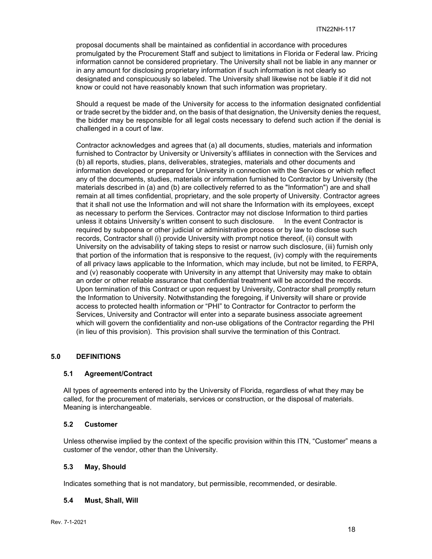proposal documents shall be maintained as confidential in accordance with procedures promulgated by the Procurement Staff and subject to limitations in Florida or Federal law. Pricing information cannot be considered proprietary. The University shall not be liable in any manner or in any amount for disclosing proprietary information if such information is not clearly so designated and conspicuously so labeled. The University shall likewise not be liable if it did not know or could not have reasonably known that such information was proprietary.

Should a request be made of the University for access to the information designated confidential or trade secret by the bidder and, on the basis of that designation, the University denies the request, the bidder may be responsible for all legal costs necessary to defend such action if the denial is challenged in a court of law.

Contractor acknowledges and agrees that (a) all documents, studies, materials and information furnished to Contractor by University or University's affiliates in connection with the Services and (b) all reports, studies, plans, deliverables, strategies, materials and other documents and information developed or prepared for University in connection with the Services or which reflect any of the documents, studies, materials or information furnished to Contractor by University (the materials described in (a) and (b) are collectively referred to as the "Information") are and shall remain at all times confidential, proprietary, and the sole property of University. Contractor agrees that it shall not use the Information and will not share the Information with its employees, except as necessary to perform the Services. Contractor may not disclose Information to third parties unless it obtains University's written consent to such disclosure. In the event Contractor is required by subpoena or other judicial or administrative process or by law to disclose such records, Contractor shall (i) provide University with prompt notice thereof, (ii) consult with University on the advisability of taking steps to resist or narrow such disclosure, (iii) furnish only that portion of the information that is responsive to the request, (iv) comply with the requirements of all privacy laws applicable to the Information, which may include, but not be limited, to FERPA, and (v) reasonably cooperate with University in any attempt that University may make to obtain an order or other reliable assurance that confidential treatment will be accorded the records. Upon termination of this Contract or upon request by University, Contractor shall promptly return the Information to University. Notwithstanding the foregoing, if University will share or provide access to protected health information or "PHI" to Contractor for Contractor to perform the Services, University and Contractor will enter into a separate business associate agreement which will govern the confidentiality and non-use obligations of the Contractor regarding the PHI (in lieu of this provision). This provision shall survive the termination of this Contract.

#### <span id="page-17-0"></span>**5.0 DEFINITIONS**

#### <span id="page-17-1"></span>**5.1 Agreement/Contract**

All types of agreements entered into by the University of Florida, regardless of what they may be called, for the procurement of materials, services or construction, or the disposal of materials. Meaning is interchangeable.

#### <span id="page-17-2"></span>**5.2 Customer**

Unless otherwise implied by the context of the specific provision within this ITN, "Customer" means a customer of the vendor, other than the University.

#### <span id="page-17-3"></span>**5.3 May, Should**

Indicates something that is not mandatory, but permissible, recommended, or desirable.

#### <span id="page-17-4"></span>**5.4 Must, Shall, Will**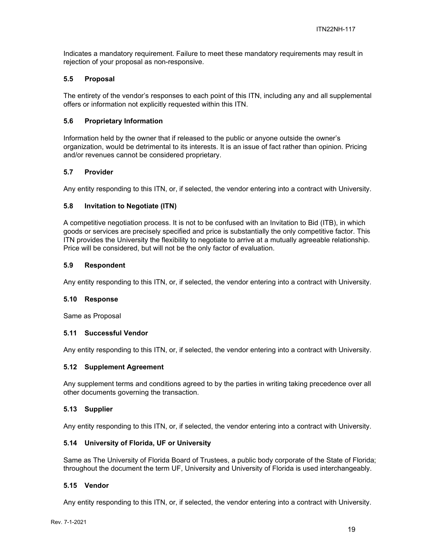Indicates a mandatory requirement. Failure to meet these mandatory requirements may result in rejection of your proposal as non-responsive.

#### <span id="page-18-0"></span>**5.5 Proposal**

The entirety of the vendor's responses to each point of this ITN, including any and all supplemental offers or information not explicitly requested within this ITN.

#### <span id="page-18-1"></span>**5.6 Proprietary Information**

Information held by the owner that if released to the public or anyone outside the owner's organization, would be detrimental to its interests. It is an issue of fact rather than opinion. Pricing and/or revenues cannot be considered proprietary.

#### <span id="page-18-2"></span>**5.7 Provider**

Any entity responding to this ITN, or, if selected, the vendor entering into a contract with University.

#### <span id="page-18-3"></span>**5.8 Invitation to Negotiate (ITN)**

A competitive negotiation process. It is not to be confused with an Invitation to Bid (ITB), in which goods or services are precisely specified and price is substantially the only competitive factor. This ITN provides the University the flexibility to negotiate to arrive at a mutually agreeable relationship. Price will be considered, but will not be the only factor of evaluation.

#### <span id="page-18-4"></span>**5.9 Respondent**

Any entity responding to this ITN, or, if selected, the vendor entering into a contract with University.

#### <span id="page-18-5"></span>**5.10 Response**

Same as Proposal

#### <span id="page-18-6"></span>**5.11 Successful Vendor**

Any entity responding to this ITN, or, if selected, the vendor entering into a contract with University.

#### <span id="page-18-7"></span>**5.12 Supplement Agreement**

Any supplement terms and conditions agreed to by the parties in writing taking precedence over all other documents governing the transaction.

#### <span id="page-18-8"></span>**5.13 Supplier**

Any entity responding to this ITN, or, if selected, the vendor entering into a contract with University.

#### <span id="page-18-9"></span>**5.14 University of Florida, UF or University**

Same as The University of Florida Board of Trustees, a public body corporate of the State of Florida; throughout the document the term UF, University and University of Florida is used interchangeably.

#### <span id="page-18-10"></span>**5.15 Vendor**

Any entity responding to this ITN, or, if selected, the vendor entering into a contract with University.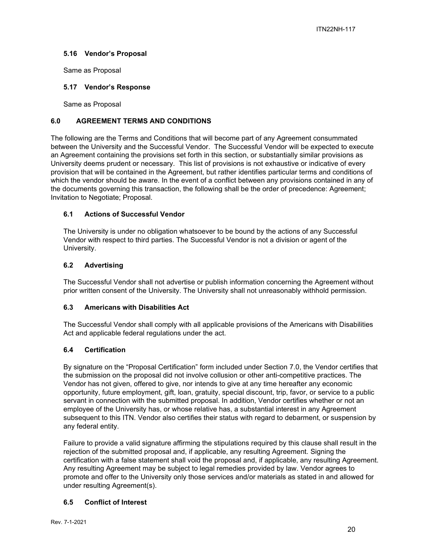## <span id="page-19-0"></span>**5.16 Vendor's Proposal**

Same as Proposal

#### <span id="page-19-1"></span>**5.17 Vendor's Response**

Same as Proposal

#### <span id="page-19-2"></span>**6.0 AGREEMENT TERMS AND CONDITIONS**

The following are the Terms and Conditions that will become part of any Agreement consummated between the University and the Successful Vendor. The Successful Vendor will be expected to execute an Agreement containing the provisions set forth in this section, or substantially similar provisions as University deems prudent or necessary. This list of provisions is not exhaustive or indicative of every provision that will be contained in the Agreement, but rather identifies particular terms and conditions of which the vendor should be aware. In the event of a conflict between any provisions contained in any of the documents governing this transaction, the following shall be the order of precedence: Agreement; Invitation to Negotiate; Proposal.

#### <span id="page-19-3"></span>**6.1 Actions of Successful Vendor**

The University is under no obligation whatsoever to be bound by the actions of any Successful Vendor with respect to third parties. The Successful Vendor is not a division or agent of the University.

#### <span id="page-19-4"></span>**6.2 Advertising**

The Successful Vendor shall not advertise or publish information concerning the Agreement without prior written consent of the University. The University shall not unreasonably withhold permission.

## <span id="page-19-5"></span>**6.3 Americans with Disabilities Act**

The Successful Vendor shall comply with all applicable provisions of the Americans with Disabilities Act and applicable federal regulations under the act.

## <span id="page-19-6"></span>**6.4 Certification**

By signature on the "Proposal Certification" form included under Section 7.0, the Vendor certifies that the submission on the proposal did not involve collusion or other anti-competitive practices. The Vendor has not given, offered to give, nor intends to give at any time hereafter any economic opportunity, future employment, gift, loan, gratuity, special discount, trip, favor, or service to a public servant in connection with the submitted proposal. In addition, Vendor certifies whether or not an employee of the University has, or whose relative has, a substantial interest in any Agreement subsequent to this ITN. Vendor also certifies their status with regard to debarment, or suspension by any federal entity.

Failure to provide a valid signature affirming the stipulations required by this clause shall result in the rejection of the submitted proposal and, if applicable, any resulting Agreement. Signing the certification with a false statement shall void the proposal and, if applicable, any resulting Agreement. Any resulting Agreement may be subject to legal remedies provided by law. Vendor agrees to promote and offer to the University only those services and/or materials as stated in and allowed for under resulting Agreement(s).

## <span id="page-19-7"></span>**6.5 Conflict of Interest**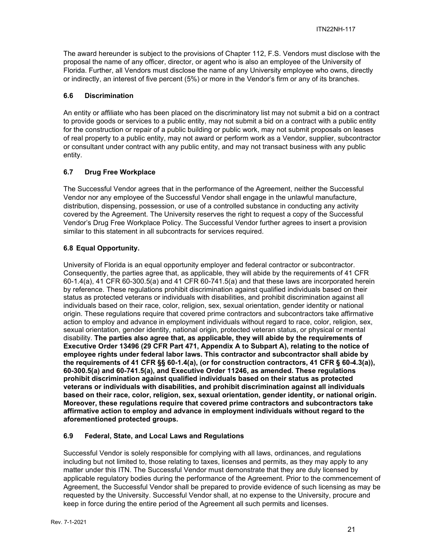The award hereunder is subject to the provisions of Chapter 112, F.S. Vendors must disclose with the proposal the name of any officer, director, or agent who is also an employee of the University of Florida. Further, all Vendors must disclose the name of any University employee who owns, directly or indirectly, an interest of five percent (5%) or more in the Vendor's firm or any of its branches.

## <span id="page-20-0"></span>**6.6 Discrimination**

An entity or affiliate who has been placed on the discriminatory list may not submit a bid on a contract to provide goods or services to a public entity, may not submit a bid on a contract with a public entity for the construction or repair of a public building or public work, may not submit proposals on leases of real property to a public entity, may not award or perform work as a Vendor, supplier, subcontractor or consultant under contract with any public entity, and may not transact business with any public entity.

## <span id="page-20-1"></span>**6.7 Drug Free Workplace**

The Successful Vendor agrees that in the performance of the Agreement, neither the Successful Vendor nor any employee of the Successful Vendor shall engage in the unlawful manufacture, distribution, dispensing, possession, or use of a controlled substance in conducting any activity covered by the Agreement. The University reserves the right to request a copy of the Successful Vendor's Drug Free Workplace Policy. The Successful Vendor further agrees to insert a provision similar to this statement in all subcontracts for services required.

## <span id="page-20-2"></span>**6.8 Equal Opportunity.**

University of Florida is an equal opportunity employer and federal contractor or subcontractor. Consequently, the parties agree that, as applicable, they will abide by the requirements of 41 CFR 60-1.4(a), 41 CFR 60-300.5(a) and 41 CFR 60-741.5(a) and that these laws are incorporated herein by reference. These regulations prohibit discrimination against qualified individuals based on their status as protected veterans or individuals with disabilities, and prohibit discrimination against all individuals based on their race, color, religion, sex, sexual orientation, gender identity or national origin. These regulations require that covered prime contractors and subcontractors take affirmative action to employ and advance in employment individuals without regard to race, color, religion, sex, sexual orientation, gender identity, national origin, protected veteran status, or physical or mental disability. **The parties also agree that, as applicable, they will abide by the requirements of Executive Order 13496 (29 CFR Part 471, Appendix A to Subpart A), relating to the notice of employee rights under federal labor laws. This contractor and subcontractor shall abide by the requirements of 41 CFR §§ 60-1.4(a), (or for construction contractors, 41 CFR § 60-4.3(a)), 60-300.5(a) and 60-741.5(a), and Executive Order 11246, as amended. These regulations prohibit discrimination against qualified individuals based on their status as protected veterans or individuals with disabilities, and prohibit discrimination against all individuals based on their race, color, religion, sex, sexual orientation, gender identity, or national origin. Moreover, these regulations require that covered prime contractors and subcontractors take affirmative action to employ and advance in employment individuals without regard to the aforementioned protected groups.**

## <span id="page-20-3"></span>**6.9 Federal, State, and Local Laws and Regulations**

Successful Vendor is solely responsible for complying with all laws, ordinances, and regulations including but not limited to, those relating to taxes, licenses and permits, as they may apply to any matter under this ITN. The Successful Vendor must demonstrate that they are duly licensed by applicable regulatory bodies during the performance of the Agreement. Prior to the commencement of Agreement, the Successful Vendor shall be prepared to provide evidence of such licensing as may be requested by the University. Successful Vendor shall, at no expense to the University, procure and keep in force during the entire period of the Agreement all such permits and licenses.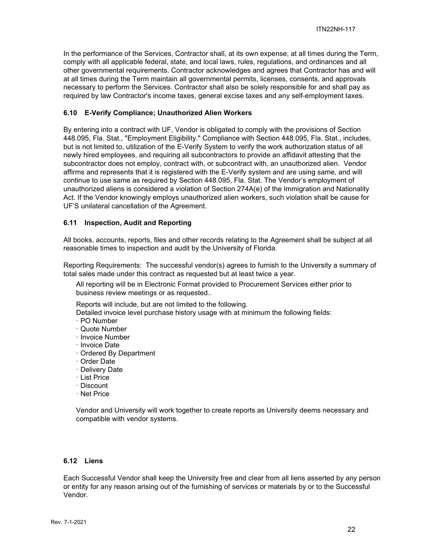In the performance of the Services, Contractor shall, at its own expense, at all times during the Term, comply with all applicable federal, state, and local laws, rules, regulations, and ordinances and all other governmental requirements. Contractor acknowledges and agrees that Contractor has and will at all times during the Term maintain all governmental permits, licenses, consents, and approvals necessary to perform the Services. Contractor shall also be solely responsible for and shall pay as required by law Contractor's income taxes, general excise taxes and any self-employment taxes.

## <span id="page-21-0"></span>**6.10 E-Verify Compliance; Unauthorized Alien Workers**

By entering into a contract with UF, Vendor is obligated to comply with the provisions of Section 448.095, Fla. Stat., "Employment Eligibility." Compliance with Section 448.095, Fla. Stat., includes, but is not limited to, utilization of the E-Verify System to verify the work authorization status of all newly hired employees, and requiring all subcontractors to provide an affidavit attesting that the subcontractor does not employ, contract with, or subcontract with, an unauthorized alien. Vendor affirms and represents that it is registered with the E-Verify system and are using same, and will continue to use same as required by Section 448.095, Fla. Stat. The Vendor's employment of unauthorized aliens is considered a violation of Section 274A(e) of the Immigration and Nationality Act. If the Vendor knowingly employs unauthorized alien workers, such violation shall be cause for UF'S unilateral cancellation of the Agreement.

#### <span id="page-21-1"></span>**6.11 Inspection, Audit and Reporting**

All books, accounts, reports, files and other records relating to the Agreement shall be subject at all reasonable times to inspection and audit by the University of Florida.

Reporting Requirements: The successful vendor(s) agrees to furnish to the University a summary of total sales made under this contract as requested but at least twice a year.

All reporting will be in Electronic Format provided to Procurement Services either prior to business review meetings or as requested..

Reports will include, but are not limited to the following.

Detailed invoice level purchase history usage with at minimum the following fields:

- · PO Number
- · Quote Number
- · Invoice Number
- · Invoice Date
- · Ordered By Department
- · Order Date
- · Delivery Date
- · List Price
- · Discount
- · Net Price

Vendor and University will work together to create reports as University deems necessary and compatible with vendor systems.

#### <span id="page-21-2"></span>**6.12 Liens**

Each Successful Vendor shall keep the University free and clear from all liens asserted by any person or entity for any reason arising out of the furnishing of services or materials by or to the Successful Vendor.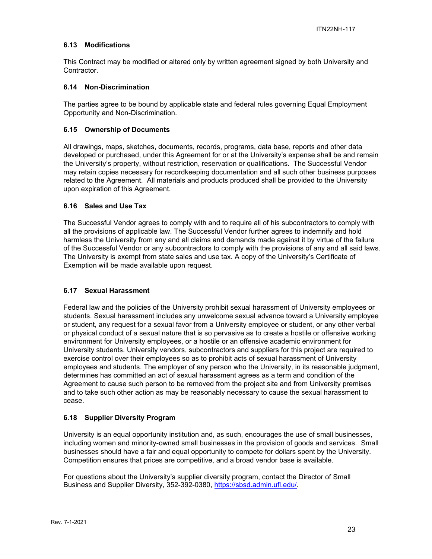#### <span id="page-22-0"></span>**6.13 Modifications**

This Contract may be modified or altered only by written agreement signed by both University and Contractor.

#### <span id="page-22-1"></span>**6.14 Non-Discrimination**

The parties agree to be bound by applicable state and federal rules governing Equal Employment Opportunity and Non-Discrimination.

#### <span id="page-22-2"></span>**6.15 Ownership of Documents**

All drawings, maps, sketches, documents, records, programs, data base, reports and other data developed or purchased, under this Agreement for or at the University's expense shall be and remain the University's property, without restriction, reservation or qualifications. The Successful Vendor may retain copies necessary for recordkeeping documentation and all such other business purposes related to the Agreement. All materials and products produced shall be provided to the University upon expiration of this Agreement.

#### <span id="page-22-3"></span>**6.16 Sales and Use Tax**

The Successful Vendor agrees to comply with and to require all of his subcontractors to comply with all the provisions of applicable law. The Successful Vendor further agrees to indemnify and hold harmless the University from any and all claims and demands made against it by virtue of the failure of the Successful Vendor or any subcontractors to comply with the provisions of any and all said laws. The University is exempt from state sales and use tax. A copy of the University's Certificate of Exemption will be made available upon request.

#### <span id="page-22-4"></span>**6.17 Sexual Harassment**

Federal law and the policies of the University prohibit sexual harassment of University employees or students. Sexual harassment includes any unwelcome sexual advance toward a University employee or student, any request for a sexual favor from a University employee or student, or any other verbal or physical conduct of a sexual nature that is so pervasive as to create a hostile or offensive working environment for University employees, or a hostile or an offensive academic environment for University students. University vendors, subcontractors and suppliers for this project are required to exercise control over their employees so as to prohibit acts of sexual harassment of University employees and students. The employer of any person who the University, in its reasonable judgment, determines has committed an act of sexual harassment agrees as a term and condition of the Agreement to cause such person to be removed from the project site and from University premises and to take such other action as may be reasonably necessary to cause the sexual harassment to cease.

#### <span id="page-22-5"></span>**6.18 Supplier Diversity Program**

University is an equal opportunity institution and, as such, encourages the use of small businesses, including women and minority-owned small businesses in the provision of goods and services. Small businesses should have a fair and equal opportunity to compete for dollars spent by the University. Competition ensures that prices are competitive, and a broad vendor base is available.

For questions about the University's supplier diversity program, contact the Director of Small Business and Supplier Diversity, 352-392-0380, [https://sbsd.admin.ufl.edu/.](https://sbsd.admin.ufl.edu/)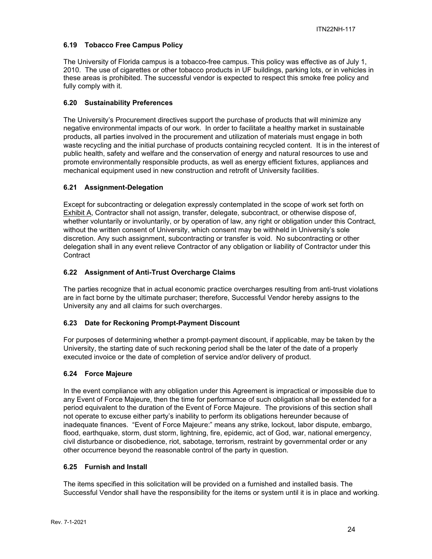## <span id="page-23-0"></span>**6.19 Tobacco Free Campus Policy**

The University of Florida campus is a tobacco-free campus. This policy was effective as of July 1, 2010. The use of cigarettes or other tobacco products in UF buildings, parking lots, or in vehicles in these areas is prohibited. The successful vendor is expected to respect this smoke free policy and fully comply with it.

## <span id="page-23-1"></span>**6.20 Sustainability Preferences**

The University's Procurement directives support the purchase of products that will minimize any negative environmental impacts of our work. In order to facilitate a healthy market in sustainable products, all parties involved in the procurement and utilization of materials must engage in both waste recycling and the initial purchase of products containing recycled content. It is in the interest of public health, safety and welfare and the conservation of energy and natural resources to use and promote environmentally responsible products, as well as energy efficient fixtures, appliances and mechanical equipment used in new construction and retrofit of University facilities.

## <span id="page-23-2"></span>**6.21 Assignment-Delegation**

Except for subcontracting or delegation expressly contemplated in the scope of work set forth on Exhibit A, Contractor shall not assign, transfer, delegate, subcontract, or otherwise dispose of, whether voluntarily or involuntarily, or by operation of law, any right or obligation under this Contract, without the written consent of University, which consent may be withheld in University's sole discretion. Any such assignment, subcontracting or transfer is void. No subcontracting or other delegation shall in any event relieve Contractor of any obligation or liability of Contractor under this **Contract** 

## <span id="page-23-3"></span>**6.22 Assignment of Anti-Trust Overcharge Claims**

The parties recognize that in actual economic practice overcharges resulting from anti-trust violations are in fact borne by the ultimate purchaser; therefore, Successful Vendor hereby assigns to the University any and all claims for such overcharges.

## <span id="page-23-4"></span>**6.23 Date for Reckoning Prompt-Payment Discount**

For purposes of determining whether a prompt-payment discount, if applicable, may be taken by the University, the starting date of such reckoning period shall be the later of the date of a properly executed invoice or the date of completion of service and/or delivery of product.

## <span id="page-23-5"></span>**6.24 Force Majeure**

In the event compliance with any obligation under this Agreement is impractical or impossible due to any Event of Force Majeure, then the time for performance of such obligation shall be extended for a period equivalent to the duration of the Event of Force Majeure. The provisions of this section shall not operate to excuse either party's inability to perform its obligations hereunder because of inadequate finances. "Event of Force Majeure:" means any strike, lockout, labor dispute, embargo, flood, earthquake, storm, dust storm, lightning, fire, epidemic, act of God, war, national emergency, civil disturbance or disobedience, riot, sabotage, terrorism, restraint by governmental order or any other occurrence beyond the reasonable control of the party in question.

## <span id="page-23-6"></span>**6.25 Furnish and Install**

The items specified in this solicitation will be provided on a furnished and installed basis. The Successful Vendor shall have the responsibility for the items or system until it is in place and working.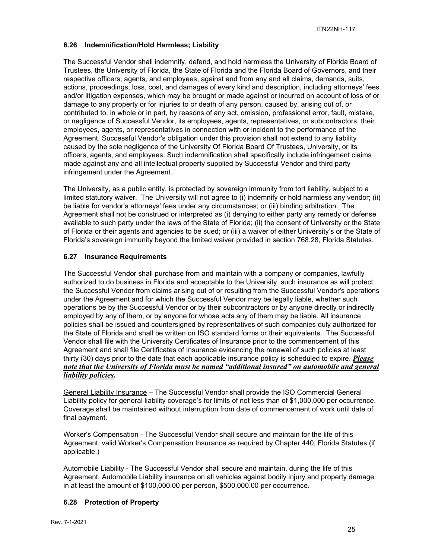## <span id="page-24-0"></span>**6.26 Indemnification/Hold Harmless; Liability**

The Successful Vendor shall indemnify, defend, and hold harmless the University of Florida Board of Trustees, the University of Florida, the State of Florida and the Florida Board of Governors, and their respective officers, agents, and employees, against and from any and all claims, demands, suits, actions, proceedings, loss, cost, and damages of every kind and description, including attorneys' fees and/or litigation expenses, which may be brought or made against or incurred on account of loss of or damage to any property or for injuries to or death of any person, caused by, arising out of, or contributed to, in whole or in part, by reasons of any act, omission, professional error, fault, mistake, or negligence of Successful Vendor, its employees, agents, representatives, or subcontractors, their employees, agents, or representatives in connection with or incident to the performance of the Agreement. Successful Vendor's obligation under this provision shall not extend to any liability caused by the sole negligence of the University Of Florida Board Of Trustees, University, or its officers, agents, and employees. Such indemnification shall specifically include infringement claims made against any and all intellectual property supplied by Successful Vendor and third party infringement under the Agreement.

The University, as a public entity, is protected by sovereign immunity from tort liability, subject to a limited statutory waiver. The University will not agree to (i) indemnify or hold harmless any vendor; (ii) be liable for vendor's attorneys' fees under any circumstances; or (iii) binding arbitration. The Agreement shall not be construed or interpreted as (i) denying to either party any remedy or defense available to such party under the laws of the State of Florida; (ii) the consent of University or the State of Florida or their agents and agencies to be sued; or (iii) a waiver of either University's or the State of Florida's sovereign immunity beyond the limited waiver provided in section 768.28, Florida Statutes.

#### <span id="page-24-1"></span>**6.27 Insurance Requirements**

The Successful Vendor shall purchase from and maintain with a company or companies, lawfully authorized to do business in Florida and acceptable to the University, such insurance as will protect the Successful Vendor from claims arising out of or resulting from the Successful Vendor's operations under the Agreement and for which the Successful Vendor may be legally liable, whether such operations be by the Successful Vendor or by their subcontractors or by anyone directly or indirectly employed by any of them, or by anyone for whose acts any of them may be liable. All insurance policies shall be issued and countersigned by representatives of such companies duly authorized for the State of Florida and shall be written on ISO standard forms or their equivalents. The Successful Vendor shall file with the University Certificates of Insurance prior to the commencement of this Agreement and shall file Certificates of Insurance evidencing the renewal of such policies at least thirty (30) days prior to the date that each applicable insurance policy is scheduled to expire. *Please note that the University of Florida must be named "additional insured" on automobile and general liability policies.*

General Liability Insurance – The Successful Vendor shall provide the ISO Commercial General Liability policy for general liability coverage's for limits of not less than of \$1,000,000 per occurrence. Coverage shall be maintained without interruption from date of commencement of work until date of final payment.

Worker's Compensation - The Successful Vendor shall secure and maintain for the life of this Agreement, valid Worker's Compensation Insurance as required by Chapter 440, Florida Statutes (if applicable.)

Automobile Liability - The Successful Vendor shall secure and maintain, during the life of this Agreement, Automobile Liability insurance on all vehicles against bodily injury and property damage in at least the amount of \$100,000.00 per person, \$500,000.00 per occurrence.

## <span id="page-24-2"></span>**6.28 Protection of Property**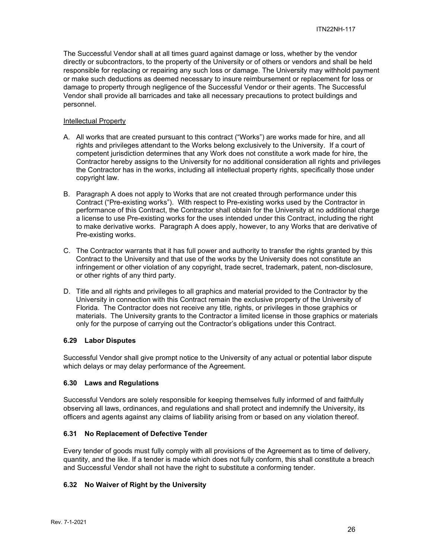The Successful Vendor shall at all times guard against damage or loss, whether by the vendor directly or subcontractors, to the property of the University or of others or vendors and shall be held responsible for replacing or repairing any such loss or damage. The University may withhold payment or make such deductions as deemed necessary to insure reimbursement or replacement for loss or damage to property through negligence of the Successful Vendor or their agents. The Successful Vendor shall provide all barricades and take all necessary precautions to protect buildings and personnel.

#### Intellectual Property

- A. All works that are created pursuant to this contract ("Works") are works made for hire, and all rights and privileges attendant to the Works belong exclusively to the University. If a court of competent jurisdiction determines that any Work does not constitute a work made for hire, the Contractor hereby assigns to the University for no additional consideration all rights and privileges the Contractor has in the works, including all intellectual property rights, specifically those under copyright law.
- B. Paragraph A does not apply to Works that are not created through performance under this Contract ("Pre-existing works"). With respect to Pre-existing works used by the Contractor in performance of this Contract, the Contractor shall obtain for the University at no additional charge a license to use Pre-existing works for the uses intended under this Contract, including the right to make derivative works. Paragraph A does apply, however, to any Works that are derivative of Pre-existing works.
- C. The Contractor warrants that it has full power and authority to transfer the rights granted by this Contract to the University and that use of the works by the University does not constitute an infringement or other violation of any copyright, trade secret, trademark, patent, non-disclosure, or other rights of any third party.
- D. Title and all rights and privileges to all graphics and material provided to the Contractor by the University in connection with this Contract remain the exclusive property of the University of Florida. The Contractor does not receive any title, rights, or privileges in those graphics or materials. The University grants to the Contractor a limited license in those graphics or materials only for the purpose of carrying out the Contractor's obligations under this Contract.

## <span id="page-25-0"></span>**6.29 Labor Disputes**

Successful Vendor shall give prompt notice to the University of any actual or potential labor dispute which delays or may delay performance of the Agreement.

## <span id="page-25-1"></span>**6.30 Laws and Regulations**

Successful Vendors are solely responsible for keeping themselves fully informed of and faithfully observing all laws, ordinances, and regulations and shall protect and indemnify the University, its officers and agents against any claims of liability arising from or based on any violation thereof.

#### <span id="page-25-2"></span>**6.31 No Replacement of Defective Tender**

Every tender of goods must fully comply with all provisions of the Agreement as to time of delivery, quantity, and the like. If a tender is made which does not fully conform, this shall constitute a breach and Successful Vendor shall not have the right to substitute a conforming tender.

## <span id="page-25-3"></span>**6.32 No Waiver of Right by the University**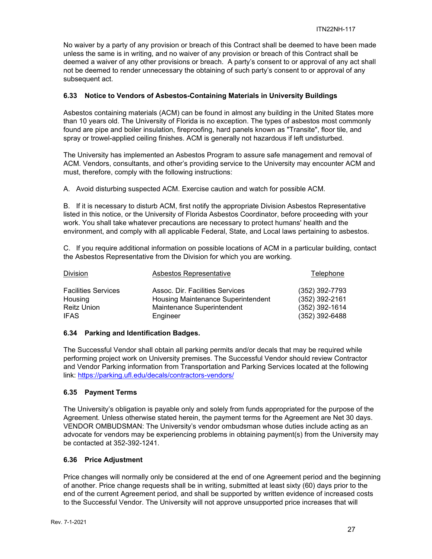No waiver by a party of any provision or breach of this Contract shall be deemed to have been made unless the same is in writing, and no waiver of any provision or breach of this Contract shall be deemed a waiver of any other provisions or breach. A party's consent to or approval of any act shall not be deemed to render unnecessary the obtaining of such party's consent to or approval of any subsequent act.

#### <span id="page-26-0"></span>**6.33 Notice to Vendors of Asbestos-Containing Materials in University Buildings**

Asbestos containing materials (ACM) can be found in almost any building in the United States more than 10 years old. The University of Florida is no exception. The types of asbestos most commonly found are pipe and boiler insulation, fireproofing, hard panels known as "Transite", floor tile, and spray or trowel-applied ceiling finishes. ACM is generally not hazardous if left undisturbed.

The University has implemented an Asbestos Program to assure safe management and removal of ACM. Vendors, consultants, and other's providing service to the University may encounter ACM and must, therefore, comply with the following instructions:

A. Avoid disturbing suspected ACM. Exercise caution and watch for possible ACM.

B. If it is necessary to disturb ACM, first notify the appropriate Division Asbestos Representative listed in this notice, or the University of Florida Asbestos Coordinator, before proceeding with your work. You shall take whatever precautions are necessary to protect humans' health and the environment, and comply with all applicable Federal, State, and Local laws pertaining to asbestos.

C. If you require additional information on possible locations of ACM in a particular building, contact the Asbestos Representative from the Division for which you are working.

| Division                   | Asbestos Representative            | Telephone        |
|----------------------------|------------------------------------|------------------|
| <b>Facilities Services</b> | Assoc. Dir. Facilities Services    | (352) 392-7793   |
| Housing                    | Housing Maintenance Superintendent | (352) 392-2161   |
| <b>Reitz Union</b>         | Maintenance Superintendent         | $(352)$ 392-1614 |
| <b>IFAS</b>                | Engineer                           | $(352)$ 392-6488 |

#### <span id="page-26-1"></span>**6.34 Parking and Identification Badges.**

The Successful Vendor shall obtain all parking permits and/or decals that may be required while performing project work on University premises. The Successful Vendor should review Contractor and Vendor Parking information from Transportation and Parking Services located at the following link:<https://parking.ufl.edu/decals/contractors-vendors/>

## <span id="page-26-2"></span>**6.35 Payment Terms**

The University's obligation is payable only and solely from funds appropriated for the purpose of the Agreement. Unless otherwise stated herein, the payment terms for the Agreement are Net 30 days. VENDOR OMBUDSMAN: The University's vendor ombudsman whose duties include acting as an advocate for vendors may be experiencing problems in obtaining payment(s) from the University may be contacted at 352-392-1241.

#### <span id="page-26-3"></span>**6.36 Price Adjustment**

Price changes will normally only be considered at the end of one Agreement period and the beginning of another. Price change requests shall be in writing, submitted at least sixty (60) days prior to the end of the current Agreement period, and shall be supported by written evidence of increased costs to the Successful Vendor. The University will not approve unsupported price increases that will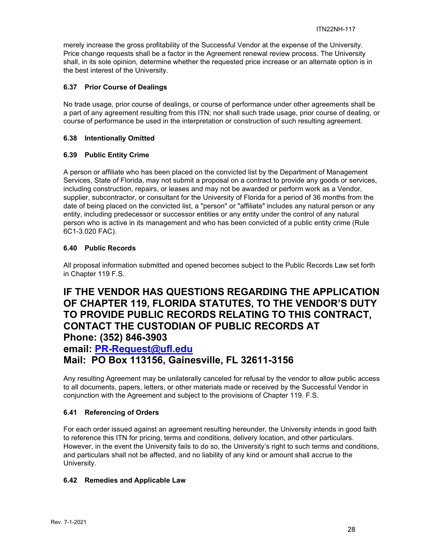merely increase the gross profitability of the Successful Vendor at the expense of the University. Price change requests shall be a factor in the Agreement renewal review process. The University shall, in its sole opinion, determine whether the requested price increase or an alternate option is in the best interest of the University.

## <span id="page-27-0"></span>**6.37 Prior Course of Dealings**

No trade usage, prior course of dealings, or course of performance under other agreements shall be a part of any agreement resulting from this ITN; nor shall such trade usage, prior course of dealing, or course of performance be used in the interpretation or construction of such resulting agreement.

## <span id="page-27-1"></span>**6.38 Intentionally Omitted**

## <span id="page-27-2"></span>**6.39 Public Entity Crime**

A person or affiliate who has been placed on the convicted list by the Department of Management Services, State of Florida, may not submit a proposal on a contract to provide any goods or services, including construction, repairs, or leases and may not be awarded or perform work as a Vendor, supplier, subcontractor, or consultant for the University of Florida for a period of 36 months from the date of being placed on the convicted list, a "person" or "affiliate" includes any natural person or any entity, including predecessor or successor entities or any entity under the control of any natural person who is active in its management and who has been convicted of a public entity crime (Rule 6C1-3.020 FAC).

## <span id="page-27-3"></span>**6.40 Public Records**

All proposal information submitted and opened becomes subject to the Public Records Law set forth in Chapter 119 F.S.

## **IF THE VENDOR HAS QUESTIONS REGARDING THE APPLICATION OF CHAPTER 119, FLORIDA STATUTES, TO THE VENDOR'S DUTY TO PROVIDE PUBLIC RECORDS RELATING TO THIS CONTRACT, CONTACT THE CUSTODIAN OF PUBLIC RECORDS AT Phone: (352) 846-3903**

## **email: [PR-Request@ufl.edu](mailto:PR-Request@ufl.edu) Mail: PO Box 113156, Gainesville, FL 32611-3156**

Any resulting Agreement may be unilaterally canceled for refusal by the vendor to allow public access to all documents, papers, letters, or other materials made or received by the Successful Vendor in conjunction with the Agreement and subject to the provisions of Chapter 119. F.S.

## <span id="page-27-4"></span>**6.41 Referencing of Orders**

For each order issued against an agreement resulting hereunder, the University intends in good faith to reference this ITN for pricing, terms and conditions, delivery location, and other particulars. However, in the event the University fails to do so, the University's right to such terms and conditions, and particulars shall not be affected, and no liability of any kind or amount shall accrue to the University.

## <span id="page-27-5"></span>**6.42 Remedies and Applicable Law**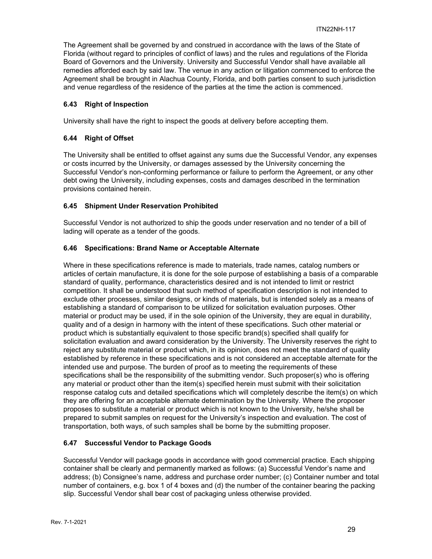The Agreement shall be governed by and construed in accordance with the laws of the State of Florida (without regard to principles of conflict of laws) and the rules and regulations of the Florida Board of Governors and the University. University and Successful Vendor shall have available all remedies afforded each by said law. The venue in any action or litigation commenced to enforce the Agreement shall be brought in Alachua County, Florida, and both parties consent to such jurisdiction and venue regardless of the residence of the parties at the time the action is commenced.

## <span id="page-28-0"></span>**6.43 Right of Inspection**

University shall have the right to inspect the goods at delivery before accepting them.

## <span id="page-28-1"></span>**6.44 Right of Offset**

The University shall be entitled to offset against any sums due the Successful Vendor, any expenses or costs incurred by the University, or damages assessed by the University concerning the Successful Vendor's non-conforming performance or failure to perform the Agreement, or any other debt owing the University, including expenses, costs and damages described in the termination provisions contained herein.

## <span id="page-28-2"></span>**6.45 Shipment Under Reservation Prohibited**

Successful Vendor is not authorized to ship the goods under reservation and no tender of a bill of lading will operate as a tender of the goods.

## <span id="page-28-3"></span>**6.46 Specifications: Brand Name or Acceptable Alternate**

Where in these specifications reference is made to materials, trade names, catalog numbers or articles of certain manufacture, it is done for the sole purpose of establishing a basis of a comparable standard of quality, performance, characteristics desired and is not intended to limit or restrict competition. It shall be understood that such method of specification description is not intended to exclude other processes, similar designs, or kinds of materials, but is intended solely as a means of establishing a standard of comparison to be utilized for solicitation evaluation purposes. Other material or product may be used, if in the sole opinion of the University, they are equal in durability, quality and of a design in harmony with the intent of these specifications. Such other material or product which is substantially equivalent to those specific brand(s) specified shall qualify for solicitation evaluation and award consideration by the University. The University reserves the right to reject any substitute material or product which, in its opinion, does not meet the standard of quality established by reference in these specifications and is not considered an acceptable alternate for the intended use and purpose. The burden of proof as to meeting the requirements of these specifications shall be the responsibility of the submitting vendor. Such proposer(s) who is offering any material or product other than the item(s) specified herein must submit with their solicitation response catalog cuts and detailed specifications which will completely describe the item(s) on which they are offering for an acceptable alternate determination by the University. Where the proposer proposes to substitute a material or product which is not known to the University, he/she shall be prepared to submit samples on request for the University's inspection and evaluation. The cost of transportation, both ways, of such samples shall be borne by the submitting proposer.

## <span id="page-28-4"></span>**6.47 Successful Vendor to Package Goods**

Successful Vendor will package goods in accordance with good commercial practice. Each shipping container shall be clearly and permanently marked as follows: (a) Successful Vendor's name and address; (b) Consignee's name, address and purchase order number; (c) Container number and total number of containers, e.g. box 1 of 4 boxes and (d) the number of the container bearing the packing slip. Successful Vendor shall bear cost of packaging unless otherwise provided.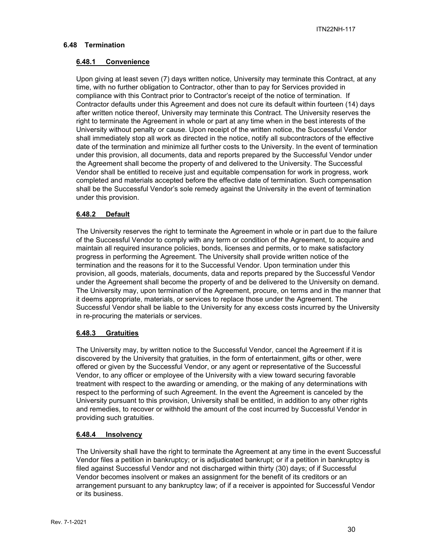## <span id="page-29-1"></span><span id="page-29-0"></span>**6.48 Termination**

#### **6.48.1 Convenience**

Upon giving at least seven (7) days written notice, University may terminate this Contract, at any time, with no further obligation to Contractor, other than to pay for Services provided in compliance with this Contract prior to Contractor's receipt of the notice of termination. If Contractor defaults under this Agreement and does not cure its default within fourteen (14) days after written notice thereof, University may terminate this Contract. The University reserves the right to terminate the Agreement in whole or part at any time when in the best interests of the University without penalty or cause. Upon receipt of the written notice, the Successful Vendor shall immediately stop all work as directed in the notice, notify all subcontractors of the effective date of the termination and minimize all further costs to the University. In the event of termination under this provision, all documents, data and reports prepared by the Successful Vendor under the Agreement shall become the property of and delivered to the University. The Successful Vendor shall be entitled to receive just and equitable compensation for work in progress, work completed and materials accepted before the effective date of termination. Such compensation shall be the Successful Vendor's sole remedy against the University in the event of termination under this provision.

#### <span id="page-29-2"></span>**6.48.2 Default**

The University reserves the right to terminate the Agreement in whole or in part due to the failure of the Successful Vendor to comply with any term or condition of the Agreement, to acquire and maintain all required insurance policies, bonds, licenses and permits, or to make satisfactory progress in performing the Agreement. The University shall provide written notice of the termination and the reasons for it to the Successful Vendor. Upon termination under this provision, all goods, materials, documents, data and reports prepared by the Successful Vendor under the Agreement shall become the property of and be delivered to the University on demand. The University may, upon termination of the Agreement, procure, on terms and in the manner that it deems appropriate, materials, or services to replace those under the Agreement. The Successful Vendor shall be liable to the University for any excess costs incurred by the University in re-procuring the materials or services.

## <span id="page-29-3"></span>**6.48.3 Gratuities**

The University may, by written notice to the Successful Vendor, cancel the Agreement if it is discovered by the University that gratuities, in the form of entertainment, gifts or other, were offered or given by the Successful Vendor, or any agent or representative of the Successful Vendor, to any officer or employee of the University with a view toward securing favorable treatment with respect to the awarding or amending, or the making of any determinations with respect to the performing of such Agreement. In the event the Agreement is canceled by the University pursuant to this provision, University shall be entitled, in addition to any other rights and remedies, to recover or withhold the amount of the cost incurred by Successful Vendor in providing such gratuities.

## <span id="page-29-4"></span>**6.48.4 Insolvency**

The University shall have the right to terminate the Agreement at any time in the event Successful Vendor files a petition in bankruptcy; or is adjudicated bankrupt; or if a petition in bankruptcy is filed against Successful Vendor and not discharged within thirty (30) days; of if Successful Vendor becomes insolvent or makes an assignment for the benefit of its creditors or an arrangement pursuant to any bankruptcy law; of if a receiver is appointed for Successful Vendor or its business.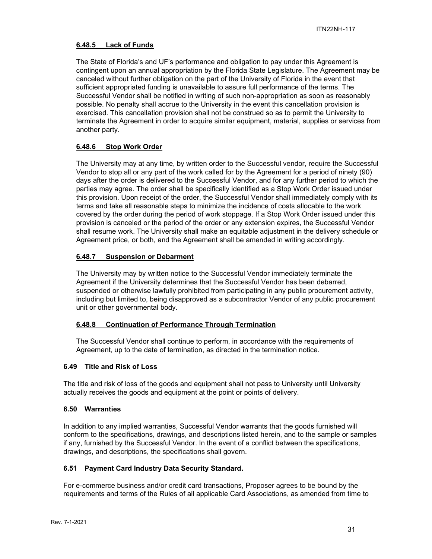#### <span id="page-30-0"></span>**6.48.5 Lack of Funds**

The State of Florida's and UF's performance and obligation to pay under this Agreement is contingent upon an annual appropriation by the Florida State Legislature. The Agreement may be canceled without further obligation on the part of the University of Florida in the event that sufficient appropriated funding is unavailable to assure full performance of the terms. The Successful Vendor shall be notified in writing of such non-appropriation as soon as reasonably possible. No penalty shall accrue to the University in the event this cancellation provision is exercised. This cancellation provision shall not be construed so as to permit the University to terminate the Agreement in order to acquire similar equipment, material, supplies or services from another party.

#### <span id="page-30-1"></span>**6.48.6 Stop Work Order**

The University may at any time, by written order to the Successful vendor, require the Successful Vendor to stop all or any part of the work called for by the Agreement for a period of ninety (90) days after the order is delivered to the Successful Vendor, and for any further period to which the parties may agree. The order shall be specifically identified as a Stop Work Order issued under this provision. Upon receipt of the order, the Successful Vendor shall immediately comply with its terms and take all reasonable steps to minimize the incidence of costs allocable to the work covered by the order during the period of work stoppage. If a Stop Work Order issued under this provision is canceled or the period of the order or any extension expires, the Successful Vendor shall resume work. The University shall make an equitable adjustment in the delivery schedule or Agreement price, or both, and the Agreement shall be amended in writing accordingly.

#### <span id="page-30-2"></span>**6.48.7 Suspension or Debarment**

The University may by written notice to the Successful Vendor immediately terminate the Agreement if the University determines that the Successful Vendor has been debarred, suspended or otherwise lawfully prohibited from participating in any public procurement activity, including but limited to, being disapproved as a subcontractor Vendor of any public procurement unit or other governmental body.

#### <span id="page-30-3"></span>**6.48.8 Continuation of Performance Through Termination**

The Successful Vendor shall continue to perform, in accordance with the requirements of Agreement, up to the date of termination, as directed in the termination notice.

#### <span id="page-30-4"></span>**6.49 Title and Risk of Loss**

The title and risk of loss of the goods and equipment shall not pass to University until University actually receives the goods and equipment at the point or points of delivery.

#### <span id="page-30-5"></span>**6.50 Warranties**

In addition to any implied warranties, Successful Vendor warrants that the goods furnished will conform to the specifications, drawings, and descriptions listed herein, and to the sample or samples if any, furnished by the Successful Vendor. In the event of a conflict between the specifications, drawings, and descriptions, the specifications shall govern.

#### <span id="page-30-6"></span>**6.51 Payment Card Industry Data Security Standard.**

For e-commerce business and/or credit card transactions, Proposer agrees to be bound by the requirements and terms of the Rules of all applicable Card Associations, as amended from time to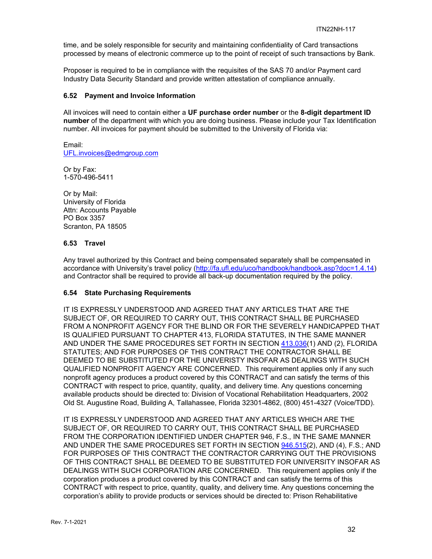time, and be solely responsible for security and maintaining confidentiality of Card transactions processed by means of electronic commerce up to the point of receipt of such transactions by Bank.

Proposer is required to be in compliance with the requisites of the SAS 70 and/or Payment card Industry Data Security Standard and provide written attestation of compliance annually.

#### <span id="page-31-0"></span>**6.52 Payment and Invoice Information**

All invoices will need to contain either a **UF purchase order number** or the **8-digit department ID number** of the department with which you are doing business. Please include your Tax Identification number. All invoices for payment should be submitted to the University of Florida via:

Email: [UFL.invoices@edmgroup.com](mailto:UFL.invoices@edmgroup.com)

Or by Fax: 1-570-496-5411

Or by Mail: University of Florida Attn: Accounts Payable PO Box 3357 Scranton, PA 18505

#### <span id="page-31-1"></span>**6.53 Travel**

Any travel authorized by this Contract and being compensated separately shall be compensated in accordance with University's travel policy [\(http://fa.ufl.edu/uco/handbook/handbook.asp?doc=1.4.14\)](http://fa.ufl.edu/uco/handbook/handbook.asp?doc=1.4.14) and Contractor shall be required to provide all back-up documentation required by the policy.

## <span id="page-31-2"></span>**6.54 State Purchasing Requirements**

IT IS EXPRESSLY UNDERSTOOD AND AGREED THAT ANY ARTICLES THAT ARE THE SUBJECT OF, OR REQUIRED TO CARRY OUT, THIS CONTRACT SHALL BE PURCHASED FROM A NONPROFIT AGENCY FOR THE BLIND OR FOR THE SEVERELY HANDICAPPED THAT IS QUALIFIED PURSUANT TO CHAPTER 413, FLORIDA STATUTES, IN THE SAME MANNER AND UNDER THE SAME PROCEDURES SET FORTH IN SECTION [413.036\(](http://www.leg.state.fl.us/STATUTES/index.cfm?App_mode=Display_Statute&Search_String=&URL=Ch0413/Sec036.HTM)1) AND (2), FLORIDA STATUTES; AND FOR PURPOSES OF THIS CONTRACT THE CONTRACTOR SHALL BE DEEMED TO BE SUBSTITUTED FOR THE UNIVERISTY INSOFAR AS DEALINGS WITH SUCH QUALIFIED NONPROFIT AGENCY ARE CONCERNED. This requirement applies only if any such nonprofit agency produces a product covered by this CONTRACT and can satisfy the terms of this CONTRACT with respect to price, quantity, quality, and delivery time. Any questions concerning available products should be directed to: Division of Vocational Rehabilitation Headquarters, 2002 Old St. Augustine Road, Building A, Tallahassee, Florida 32301-4862, (800) 451-4327 (Voice/TDD).

IT IS EXPRESSLY UNDERSTOOD AND AGREED THAT ANY ARTICLES WHICH ARE THE SUBJECT OF, OR REQUIRED TO CARRY OUT, THIS CONTRACT SHALL BE PURCHASED FROM THE CORPORATION IDENTIFIED UNDER CHAPTER 946, F.S., IN THE SAME MANNER AND UNDER THE SAME PROCEDURES SET FORTH IN SECTION [946.515\(](http://www.leg.state.fl.us/STATUTES/index.cfm?App_mode=Display_Statute&Search_String=&URL=Ch0946/Sec515.HTM)2), AND (4), F.S.; AND FOR PURPOSES OF THIS CONTRACT THE CONTRACTOR CARRYING OUT THE PROVISIONS OF THIS CONTRACT SHALL BE DEEMED TO BE SUBSTITUTED FOR UNIVERSITY INSOFAR AS DEALINGS WITH SUCH CORPORATION ARE CONCERNED. This requirement applies only if the corporation produces a product covered by this CONTRACT and can satisfy the terms of this CONTRACT with respect to price, quantity, quality, and delivery time. Any questions concerning the corporation's ability to provide products or services should be directed to: Prison Rehabilitative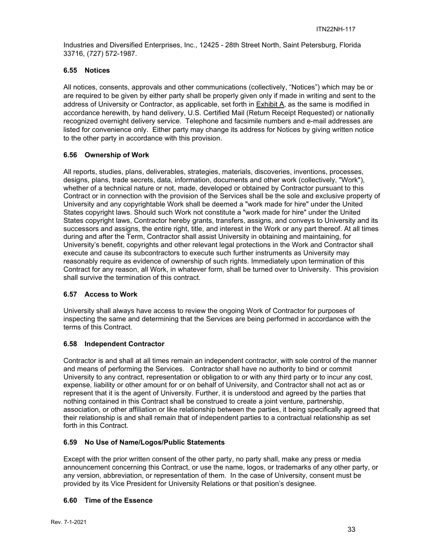Industries and Diversified Enterprises, Inc., 12425 - 28th Street North, Saint Petersburg, Florida 33716, (727) 572-1987.

#### <span id="page-32-0"></span>**6.55 Notices**

All notices, consents, approvals and other communications (collectively, "Notices") which may be or are required to be given by either party shall be properly given only if made in writing and sent to the address of University or Contractor, as applicable, set forth in Exhibit A, as the same is modified in accordance herewith, by hand delivery, U.S. Certified Mail (Return Receipt Requested) or nationally recognized overnight delivery service. Telephone and facsimile numbers and e-mail addresses are listed for convenience only. Either party may change its address for Notices by giving written notice to the other party in accordance with this provision.

## <span id="page-32-1"></span>**6.56 Ownership of Work**

All reports, studies, plans, deliverables, strategies, materials, discoveries, inventions, processes, designs, plans, trade secrets, data, information, documents and other work (collectively, "Work"), whether of a technical nature or not, made, developed or obtained by Contractor pursuant to this Contract or in connection with the provision of the Services shall be the sole and exclusive property of University and any copyrightable Work shall be deemed a "work made for hire" under the United States copyright laws. Should such Work not constitute a "work made for hire" under the United States copyright laws, Contractor hereby grants, transfers, assigns, and conveys to University and its successors and assigns, the entire right, title, and interest in the Work or any part thereof. At all times during and after the Term, Contractor shall assist University in obtaining and maintaining, for University's benefit, copyrights and other relevant legal protections in the Work and Contractor shall execute and cause its subcontractors to execute such further instruments as University may reasonably require as evidence of ownership of such rights. Immediately upon termination of this Contract for any reason, all Work, in whatever form, shall be turned over to University. This provision shall survive the termination of this contract.

## <span id="page-32-2"></span>**6.57 Access to Work**

University shall always have access to review the ongoing Work of Contractor for purposes of inspecting the same and determining that the Services are being performed in accordance with the terms of this Contract.

## <span id="page-32-3"></span>**6.58 Independent Contractor**

Contractor is and shall at all times remain an independent contractor, with sole control of the manner and means of performing the Services. Contractor shall have no authority to bind or commit University to any contract, representation or obligation to or with any third party or to incur any cost, expense, liability or other amount for or on behalf of University, and Contractor shall not act as or represent that it is the agent of University. Further, it is understood and agreed by the parties that nothing contained in this Contract shall be construed to create a joint venture, partnership, association, or other affiliation or like relationship between the parties, it being specifically agreed that their relationship is and shall remain that of independent parties to a contractual relationship as set forth in this Contract.

## <span id="page-32-4"></span>**6.59 No Use of Name/Logos/Public Statements**

Except with the prior written consent of the other party, no party shall, make any press or media announcement concerning this Contract, or use the name, logos, or trademarks of any other party, or any version, abbreviation, or representation of them. In the case of University, consent must be provided by its Vice President for University Relations or that position's designee.

## <span id="page-32-5"></span>**6.60 Time of the Essence**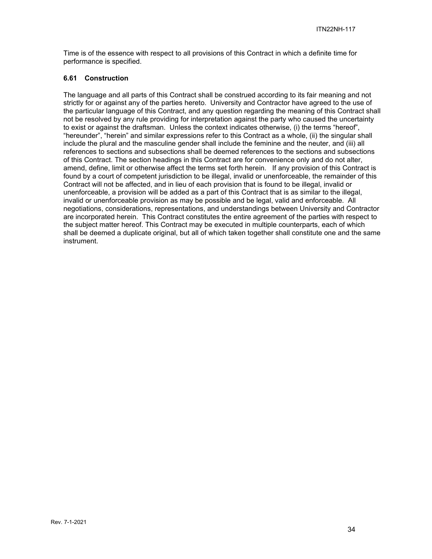Time is of the essence with respect to all provisions of this Contract in which a definite time for performance is specified.

#### <span id="page-33-0"></span>**6.61 Construction**

The language and all parts of this Contract shall be construed according to its fair meaning and not strictly for or against any of the parties hereto. University and Contractor have agreed to the use of the particular language of this Contract, and any question regarding the meaning of this Contract shall not be resolved by any rule providing for interpretation against the party who caused the uncertainty to exist or against the draftsman. Unless the context indicates otherwise, (i) the terms "hereof", "hereunder", "herein" and similar expressions refer to this Contract as a whole, (ii) the singular shall include the plural and the masculine gender shall include the feminine and the neuter, and (iii) all references to sections and subsections shall be deemed references to the sections and subsections of this Contract. The section headings in this Contract are for convenience only and do not alter, amend, define, limit or otherwise affect the terms set forth herein. If any provision of this Contract is found by a court of competent jurisdiction to be illegal, invalid or unenforceable, the remainder of this Contract will not be affected, and in lieu of each provision that is found to be illegal, invalid or unenforceable, a provision will be added as a part of this Contract that is as similar to the illegal, invalid or unenforceable provision as may be possible and be legal, valid and enforceable. All negotiations, considerations, representations, and understandings between University and Contractor are incorporated herein. This Contract constitutes the entire agreement of the parties with respect to the subject matter hereof. This Contract may be executed in multiple counterparts, each of which shall be deemed a duplicate original, but all of which taken together shall constitute one and the same instrument.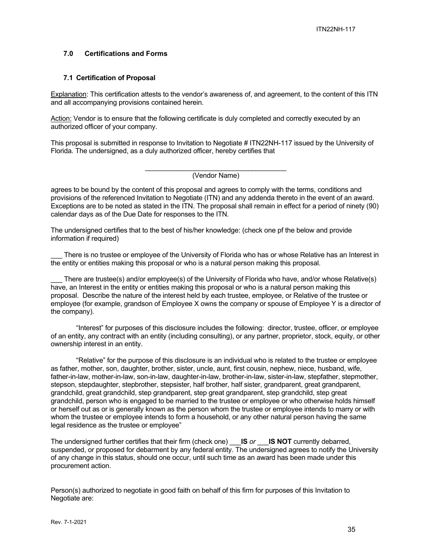#### <span id="page-34-0"></span>**7.0 Certifications and Forms**

#### <span id="page-34-1"></span>**7.1 Certification of Proposal**

Explanation: This certification attests to the vendor's awareness of, and agreement, to the content of this ITN and all accompanying provisions contained herein.

Action: Vendor is to ensure that the following certificate is duly completed and correctly executed by an authorized officer of your company.

This proposal is submitted in response to Invitation to Negotiate # ITN22NH-117 issued by the University of Florida. The undersigned, as a duly authorized officer, hereby certifies that

> \_\_\_\_\_\_\_\_\_\_\_\_\_\_\_\_\_\_\_\_\_\_\_\_\_\_\_\_\_\_\_\_\_\_\_\_\_ (Vendor Name)

agrees to be bound by the content of this proposal and agrees to comply with the terms, conditions and provisions of the referenced Invitation to Negotiate (ITN) and any addenda thereto in the event of an award. Exceptions are to be noted as stated in the ITN. The proposal shall remain in effect for a period of ninety (90) calendar days as of the Due Date for responses to the ITN.

The undersigned certifies that to the best of his/her knowledge: (check one pf the below and provide information if required)

There is no trustee or employee of the University of Florida who has or whose Relative has an Interest in the entity or entities making this proposal or who is a natural person making this proposal.

There are trustee(s) and/or employee(s) of the University of Florida who have, and/or whose Relative(s) have, an Interest in the entity or entities making this proposal or who is a natural person making this proposal. Describe the nature of the interest held by each trustee, employee, or Relative of the trustee or employee (for example, grandson of Employee X owns the company or spouse of Employee Y is a director of the company).

"Interest" for purposes of this disclosure includes the following: director, trustee, officer, or employee of an entity, any contract with an entity (including consulting), or any partner, proprietor, stock, equity, or other ownership interest in an entity.

"Relative" for the purpose of this disclosure is an individual who is related to the trustee or employee as father, mother, son, daughter, brother, sister, uncle, aunt, first cousin, nephew, niece, husband, wife, father-in-law, mother-in-law, son-in-law, daughter-in-law, brother-in-law, sister-in-law, stepfather, stepmother, stepson, stepdaughter, stepbrother, stepsister, half brother, half sister, grandparent, great grandparent, grandchild, great grandchild, step grandparent, step great grandparent, step grandchild, step great grandchild, person who is engaged to be married to the trustee or employee or who otherwise holds himself or herself out as or is generally known as the person whom the trustee or employee intends to marry or with whom the trustee or employee intends to form a household, or any other natural person having the same legal residence as the trustee or employee"

The undersigned further certifies that their firm (check one) \_\_\_**IS** *or* \_\_\_**IS NOT** currently debarred, suspended, or proposed for debarment by any federal entity. The undersigned agrees to notify the University of any change in this status, should one occur, until such time as an award has been made under this procurement action.

Person(s) authorized to negotiate in good faith on behalf of this firm for purposes of this Invitation to Negotiate are: